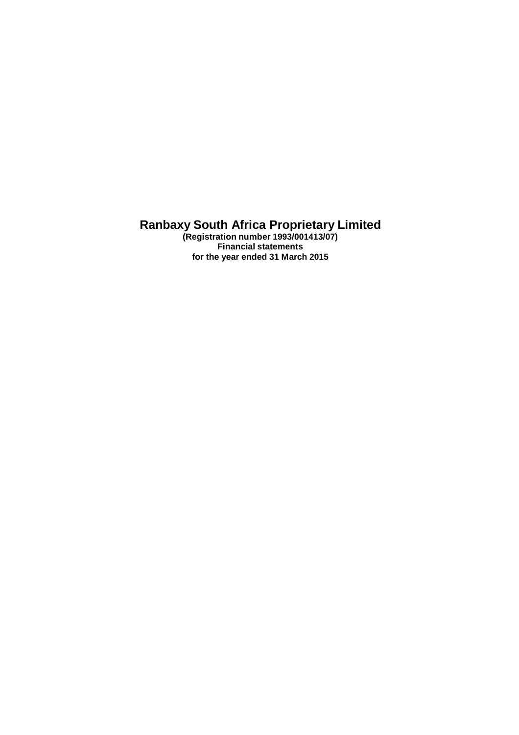**(Registration number 1993/001413/07) Financial statements for the year ended 31 March 2015**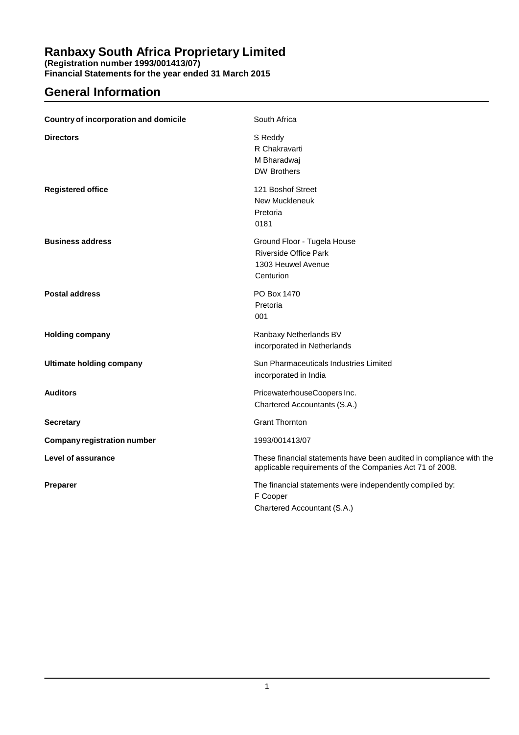**(Registration number 1993/001413/07)**

**Financial Statements for the year ended 31 March 2015**

# **General Information**

| <b>Country of incorporation and domicile</b> | South Africa                                                                                                                    |
|----------------------------------------------|---------------------------------------------------------------------------------------------------------------------------------|
| <b>Directors</b>                             | S Reddy<br>R Chakravarti<br>M Bharadwaj<br><b>DW Brothers</b>                                                                   |
| <b>Registered office</b>                     | 121 Boshof Street<br><b>New Muckleneuk</b><br>Pretoria<br>0181                                                                  |
| <b>Business address</b>                      | Ground Floor - Tugela House<br><b>Riverside Office Park</b><br>1303 Heuwel Avenue<br>Centurion                                  |
| <b>Postal address</b>                        | PO Box 1470<br>Pretoria<br>001                                                                                                  |
| <b>Holding company</b>                       | Ranbaxy Netherlands BV<br>incorporated in Netherlands                                                                           |
| <b>Ultimate holding company</b>              | Sun Pharmaceuticals Industries Limited<br>incorporated in India                                                                 |
| <b>Auditors</b>                              | PricewaterhouseCoopers Inc.<br>Chartered Accountants (S.A.)                                                                     |
| <b>Secretary</b>                             | <b>Grant Thornton</b>                                                                                                           |
| <b>Company registration number</b>           | 1993/001413/07                                                                                                                  |
| <b>Level of assurance</b>                    | These financial statements have been audited in compliance with the<br>applicable requirements of the Companies Act 71 of 2008. |
| Preparer                                     | The financial statements were independently compiled by:<br>F Cooper<br>Chartered Accountant (S.A.)                             |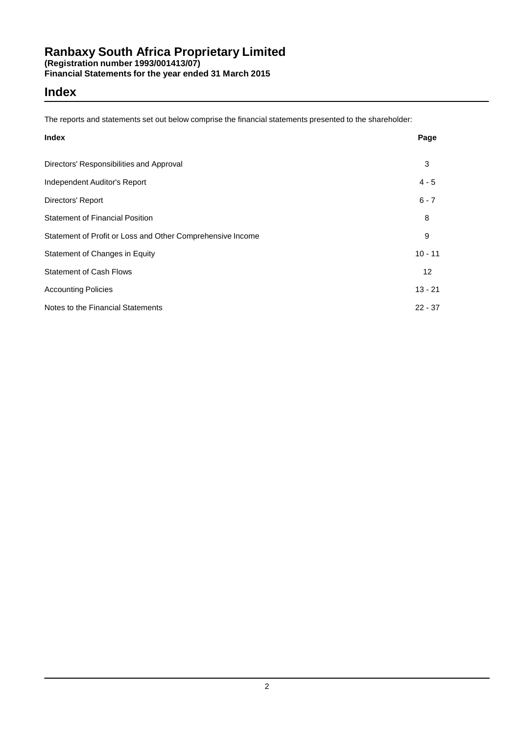### **Index**

The reports and statements set out below comprise the financial statements presented to the shareholder:

| <b>Index</b>                                               | Page            |
|------------------------------------------------------------|-----------------|
| Directors' Responsibilities and Approval                   | 3               |
| Independent Auditor's Report                               | $4 - 5$         |
| Directors' Report                                          | $6 - 7$         |
| <b>Statement of Financial Position</b>                     | 8               |
| Statement of Profit or Loss and Other Comprehensive Income | 9               |
| Statement of Changes in Equity                             | $10 - 11$       |
| <b>Statement of Cash Flows</b>                             | 12 <sup>2</sup> |
| <b>Accounting Policies</b>                                 | $13 - 21$       |
| Notes to the Financial Statements                          | $22 - 37$       |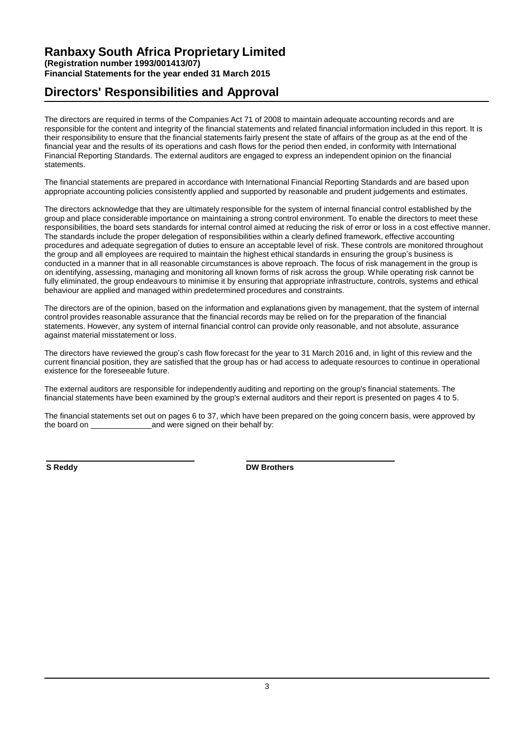### **Ranbaxy South Africa Proprietary Limited (Registration number 1993/001413/07) Financial Statements for the year ended 31 March 2015**

### **Directors' Responsibilities and Approval**

The directors are required in terms of the Companies Act 71 of 2008 to maintain adequate accounting records and are responsible for the content and integrity of the financial statements and related financial information included in this report. It is their responsibility to ensure that the financial statements fairly present the state of affairs of the group as at the end of the financial year and the results of its operations and cash flows for the period then ended, in conformity with International Financial Reporting Standards. The external auditors are engaged to express an independent opinion on the financial statements.

The financial statements are prepared in accordance with International Financial Reporting Standards and are based upon appropriate accounting policies consistently applied and supported by reasonable and prudent judgements and estimates.

The directors acknowledge that they are ultimately responsible for the system of internal financial control established by the group and place considerable importance on maintaining a strong control environment. To enable the directors to meet these responsibilities, the board sets standards for internal control aimed at reducing the risk of error or loss in a cost effective manner. The standards include the proper delegation of responsibilities within a clearly defined framework, effective accounting procedures and adequate segregation of duties to ensure an acceptable level of risk. These controls are monitored throughout the group and all employees are required to maintain the highest ethical standards in ensuring the group's business is conducted in a manner that in all reasonable circumstances is above reproach. The focus of risk management in the group is on identifying, assessing, managing and monitoring all known forms of risk across the group. While operating risk cannot be fully eliminated, the group endeavours to minimise it by ensuring that appropriate infrastructure, controls, systems and ethical behaviour are applied and managed within predetermined procedures and constraints.

The directors are of the opinion, based on the information and explanations given by management, that the system of internal control provides reasonable assurance that the financial records may be relied on for the preparation of the financial statements. However, any system of internal financial control can provide only reasonable, and not absolute, assurance against material misstatement or loss.

The directors have reviewed the group's cash flow forecast for the year to 31 March 2016 and, in light of this review and the current financial position, they are satisfied that the group has or had access to adequate resources to continue in operational existence for the foreseeable future.

The external auditors are responsible for independently auditing and reporting on the group's financial statements. The financial statements have been examined by the group's external auditors and their report is presented on pages 4 to 5.

The financial statements set out on pages 6 to 37, which have been prepared on the going concern basis, were approved by the board on and were signed on their behalf by: and were signed on their behalf by:

**S Reddy DW Brothers**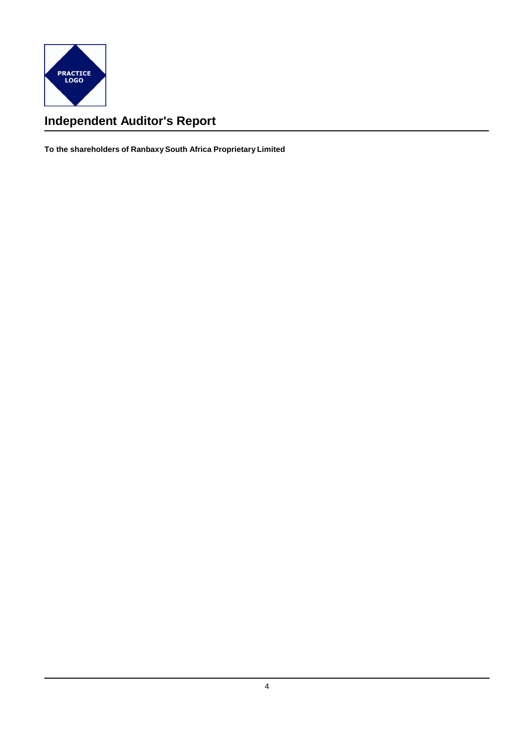

# **Independent Auditor's Report**

**To the shareholders of Ranbaxy South Africa Proprietary Limited**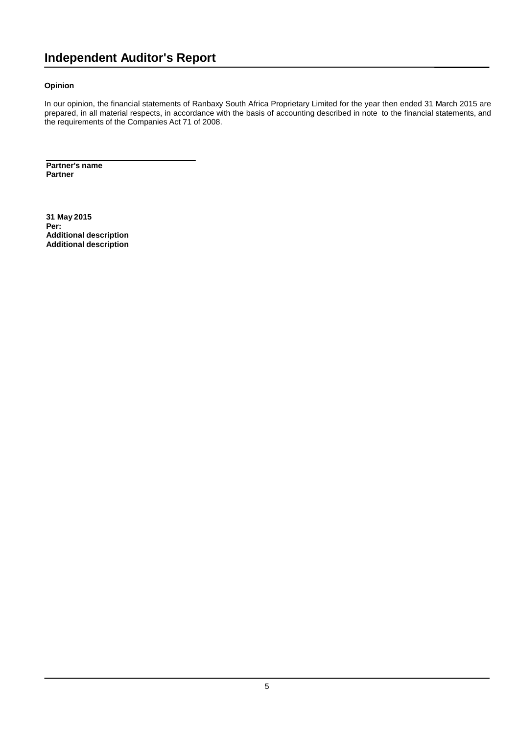# **Independent Auditor's Report**

### **Opinion**

In our opinion, the financial statements of Ranbaxy South Africa Proprietary Limited for the year then ended 31 March 2015 are prepared, in all material respects, in accordance with the basis of accounting described in note to the financial statements, and the requirements of the Companies Act 71 of 2008.

**Partner's name Partner**

**31 May 2015 Per: Additional description Additional description**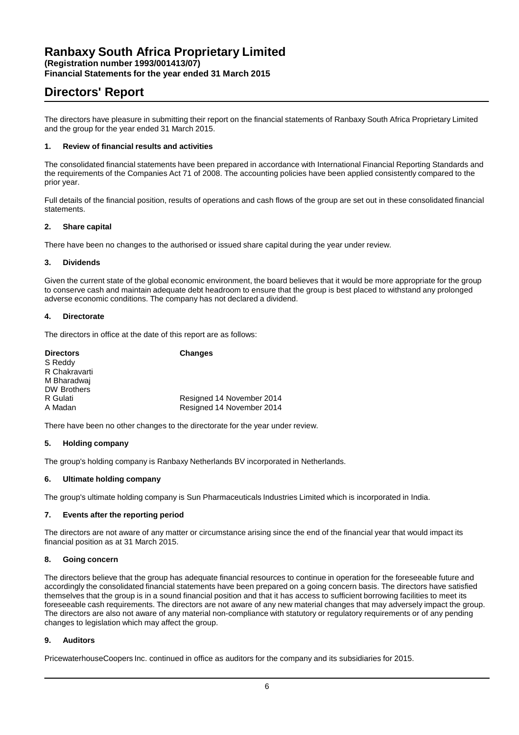**Financial Statements for the year ended 31 March 2015**

# **Directors' Report**

The directors have pleasure in submitting their report on the financial statements of Ranbaxy South Africa Proprietary Limited and the group for the year ended 31 March 2015.

### **1. Review of financial results and activities**

The consolidated financial statements have been prepared in accordance with International Financial Reporting Standards and the requirements of the Companies Act 71 of 2008. The accounting policies have been applied consistently compared to the prior year.

Full details of the financial position, results of operations and cash flows of the group are set out in these consolidated financial statements.

### **2. Share capital**

There have been no changes to the authorised or issued share capital during the year under review.

### **3. Dividends**

Given the current state of the global economic environment, the board believes that it would be more appropriate for the group to conserve cash and maintain adequate debt headroom to ensure that the group is best placed to withstand any prolonged adverse economic conditions. The company has not declared a dividend.

### **4. Directorate**

The directors in office at the date of this report are as follows:

| <b>Directors</b>   | <b>Changes</b>            |
|--------------------|---------------------------|
| S Reddy            |                           |
| R Chakravarti      |                           |
| M Bharadwai        |                           |
| <b>DW Brothers</b> |                           |
| R Gulati           | Resigned 14 November 2014 |
| A Madan            | Resigned 14 November 2014 |
|                    |                           |

There have been no other changes to the directorate for the year under review.

#### **5. Holding company**

The group's holding company is Ranbaxy Netherlands BV incorporated in Netherlands.

### **6. Ultimate holding company**

The group's ultimate holding company is Sun Pharmaceuticals Industries Limited which is incorporated in India.

#### **7. Events after the reporting period**

The directors are not aware of any matter or circumstance arising since the end of the financial year that would impact its financial position as at 31 March 2015.

### **8. Going concern**

The directors believe that the group has adequate financial resources to continue in operation for the foreseeable future and accordingly the consolidated financial statements have been prepared on a going concern basis. The directors have satisfied themselves that the group is in a sound financial position and that it has access to sufficient borrowing facilities to meet its foreseeable cash requirements. The directors are not aware of any new material changes that may adversely impact the group. The directors are also not aware of any material non-compliance with statutory or regulatory requirements or of any pending changes to legislation which may affect the group.

### **9. Auditors**

PricewaterhouseCoopers Inc. continued in office as auditors for the company and its subsidiaries for 2015.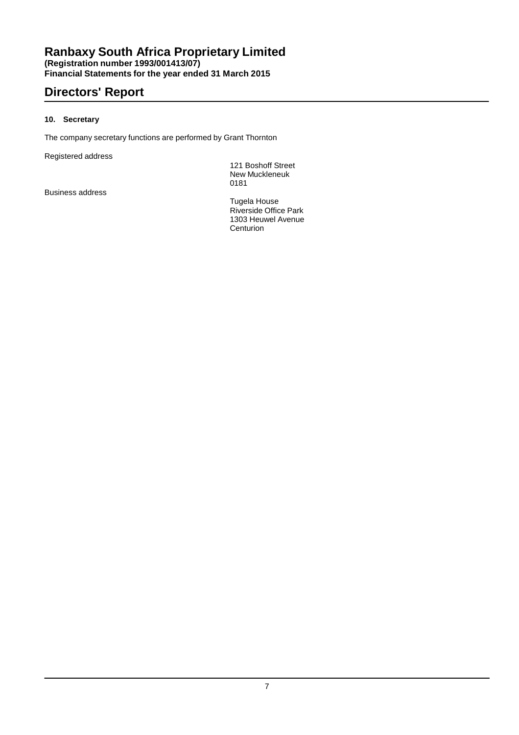### **Ranbaxy South Africa Proprietary Limited (Registration number 1993/001413/07) Financial Statements for the year ended 31 March 2015**

# **Directors' Report**

### **10. Secretary**

The company secretary functions are performed by Grant Thornton

Registered address

121 Boshoff Street New Muckleneuk 0181

Business address

Tugela House Riverside Office Park 1303 Heuwel Avenue **Centurion**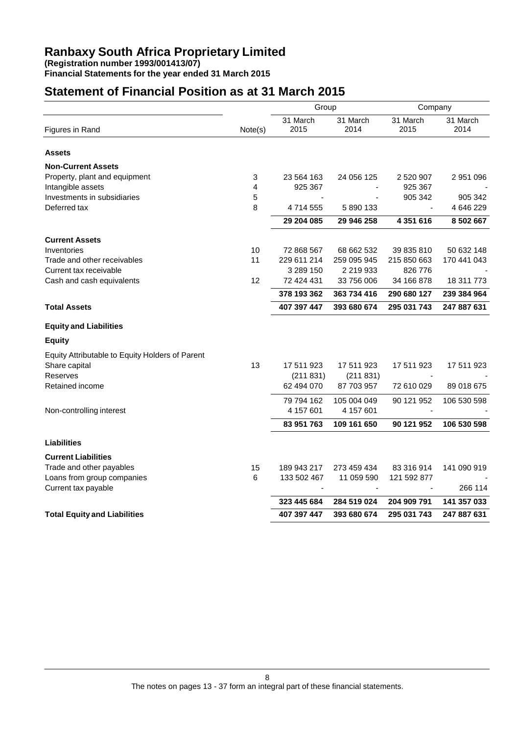**Financial Statements for the year ended 31 March 2015**

# **Statement of Financial Position as at 31 March 2015**

|                                                 |         | Group            |                  | Company          |                  |
|-------------------------------------------------|---------|------------------|------------------|------------------|------------------|
| Figures in Rand                                 | Note(s) | 31 March<br>2015 | 31 March<br>2014 | 31 March<br>2015 | 31 March<br>2014 |
| <b>Assets</b>                                   |         |                  |                  |                  |                  |
| <b>Non-Current Assets</b>                       |         |                  |                  |                  |                  |
| Property, plant and equipment                   | 3       | 23 564 163       | 24 056 125       | 2 520 907        | 2 951 096        |
| Intangible assets                               | 4       | 925 367          |                  | 925 367          |                  |
| Investments in subsidiaries                     | 5       |                  |                  | 905 342          | 905 342          |
| Deferred tax                                    | 8       | 4714555          | 5 890 133        |                  | 4 646 229        |
|                                                 |         | 29 204 085       | 29 946 258       | 4 351 616        | 8 502 667        |
| <b>Current Assets</b>                           |         |                  |                  |                  |                  |
| Inventories                                     | 10      | 72 868 567       | 68 662 532       | 39 835 810       | 50 632 148       |
| Trade and other receivables                     | 11      | 229 611 214      | 259 095 945      | 215 850 663      | 170 441 043      |
| Current tax receivable                          |         | 3 289 150        | 2 219 933        | 826 776          |                  |
| Cash and cash equivalents                       | 12      | 72 424 431       | 33 756 006       | 34 166 878       | 18 311 773       |
|                                                 |         | 378 193 362      | 363 734 416      | 290 680 127      | 239 384 964      |
| <b>Total Assets</b>                             |         | 407 397 447      | 393 680 674      | 295 031 743      | 247 887 631      |
| <b>Equity and Liabilities</b>                   |         |                  |                  |                  |                  |
| <b>Equity</b>                                   |         |                  |                  |                  |                  |
| Equity Attributable to Equity Holders of Parent |         |                  |                  |                  |                  |
| Share capital                                   | 13      | 17 511 923       | 17 511 923       | 17 511 923       | 17 511 923       |
| Reserves                                        |         | (211 831)        | (211831)         |                  |                  |
| Retained income                                 |         | 62 494 070       | 87 703 957       | 72 610 029       | 89 018 675       |
|                                                 |         | 79 794 162       | 105 004 049      | 90 121 952       | 106 530 598      |
| Non-controlling interest                        |         | 4 157 601        | 4 157 601        |                  |                  |
|                                                 |         | 83 951 763       | 109 161 650      | 90 121 952       | 106 530 598      |
| <b>Liabilities</b>                              |         |                  |                  |                  |                  |
| <b>Current Liabilities</b>                      |         |                  |                  |                  |                  |
| Trade and other payables                        | 15      | 189 943 217      | 273 459 434      | 83 316 914       | 141 090 919      |
| Loans from group companies                      | 6       | 133 502 467      | 11 059 590       | 121 592 877      |                  |
| Current tax payable                             |         |                  |                  |                  | 266 114          |
|                                                 |         | 323 445 684      | 284 519 024      | 204 909 791      | 141 357 033      |
| <b>Total Equity and Liabilities</b>             |         | 407 397 447      | 393 680 674      | 295 031 743      | 247 887 631      |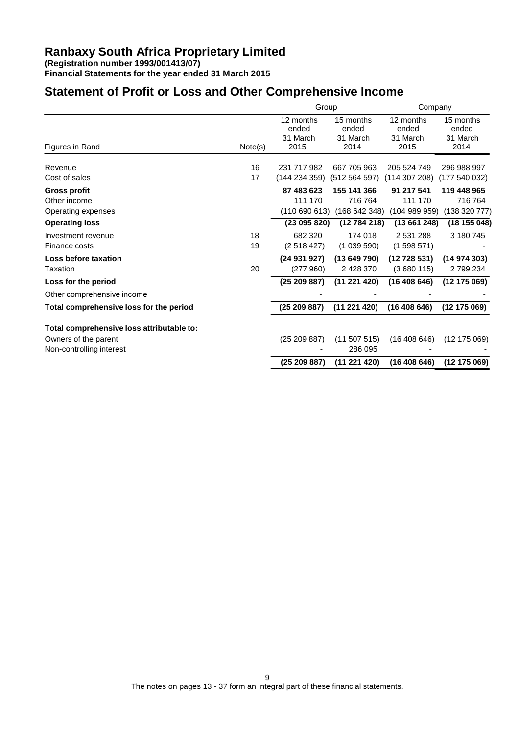**Financial Statements for the year ended 31 March 2015**

# **Statement of Profit or Loss and Other Comprehensive Income**

|                                           |         | Group                                  |                                        | Company                                |                                        |
|-------------------------------------------|---------|----------------------------------------|----------------------------------------|----------------------------------------|----------------------------------------|
|                                           | Note(s) | 12 months<br>ended<br>31 March<br>2015 | 15 months<br>ended<br>31 March<br>2014 | 12 months<br>ended<br>31 March<br>2015 | 15 months<br>ended<br>31 March<br>2014 |
| Figures in Rand                           |         |                                        |                                        |                                        |                                        |
| Revenue                                   | 16      | 231 717 982                            | 667 705 963                            | 205 524 749                            | 296 988 997                            |
| Cost of sales                             | 17      | (144 234 359)                          | (512 564 597)                          | (114307208)                            | (177540032)                            |
| <b>Gross profit</b>                       |         | 87 483 623                             | 155 141 366                            | 91 217 541                             | 119 448 965                            |
| Other income                              |         | 111 170                                | 716764                                 | 111 170                                | 716764                                 |
| Operating expenses                        |         | (110690613)                            | (168642348)                            | (104989959)                            | (138 320 777)                          |
| <b>Operating loss</b>                     |         | (23095820)                             | (12784218)                             | (13661248)                             | (18155048)                             |
| Investment revenue                        | 18      | 682 320                                | 174 018                                | 2 531 288                              | 3 180 745                              |
| Finance costs                             | 19      | (2518427)                              | (1039590)                              | (1598571)                              |                                        |
| Loss before taxation                      |         | (24 931 927)                           | (13649790)                             | (12728531)                             | (14974303)                             |
| Taxation                                  | 20      | (277960)                               | 2 428 370                              | (3680115)                              | 2799234                                |
| Loss for the period                       |         | (25209887)                             | (11 221 420)                           | (16408646)                             | (12 175 069)                           |
| Other comprehensive income                |         |                                        |                                        |                                        |                                        |
| Total comprehensive loss for the period   |         | (25209887)                             | (11 221 420)                           | (16408646)                             | (12175069)                             |
| Total comprehensive loss attributable to: |         |                                        |                                        |                                        |                                        |
| Owners of the parent                      |         | (25 209 887)                           | 507 515)<br>(11)                       | (16408646)                             | (12 175 069)                           |
| Non-controlling interest                  |         |                                        | 286 095                                |                                        |                                        |
|                                           |         | (25209887)                             | (11 221 420)                           | (16408646)                             | (12 175 069)                           |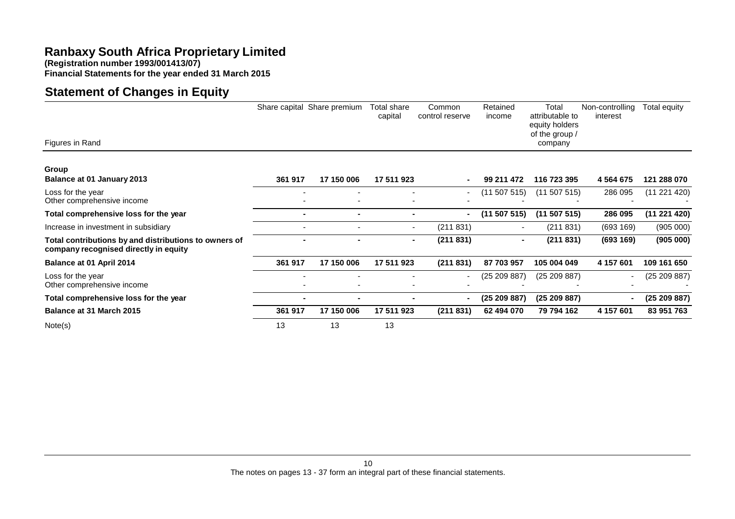**(Registration number 1993/001413/07)**

**Financial Statements for the year ended 31 March 2015**

# **Statement of Changes in Equity**

|                                                                                                |                | Share capital Share premium | Total share<br>capital   | Common<br>control reserve | Retained<br>income | Total<br>attributable to<br>equity holders<br>of the group / | Non-controlling<br>interest | Total equity |
|------------------------------------------------------------------------------------------------|----------------|-----------------------------|--------------------------|---------------------------|--------------------|--------------------------------------------------------------|-----------------------------|--------------|
| Figures in Rand                                                                                |                |                             |                          |                           |                    | company                                                      |                             |              |
| Group                                                                                          |                |                             |                          |                           |                    |                                                              |                             |              |
| <b>Balance at 01 January 2013</b>                                                              | 361 917        | 17 150 006                  | 17 511 923               |                           | 99 211 472         | 116 723 395                                                  | 4 5 6 4 6 7 5               | 121 288 070  |
| Loss for the year<br>Other comprehensive income                                                |                |                             |                          |                           | (11 507 515)       | (11 507 515)                                                 | 286 095                     | (11 221 420) |
| Total comprehensive loss for the year                                                          | $\blacksquare$ | $\blacksquare$              | $\blacksquare$           | ۰.                        | (11 507 515)       | (11 507 515)                                                 | 286 095                     | (11 221 420) |
| Increase in investment in subsidiary                                                           |                |                             | $\overline{\phantom{a}}$ | (211831)                  |                    | (211 831)                                                    | (693 169)                   | (905 000)    |
| Total contributions by and distributions to owners of<br>company recognised directly in equity |                |                             | $\sim$                   | (211831)                  | $\blacksquare$     | (211 831)                                                    | (693 169)                   | (905 000)    |
| Balance at 01 April 2014                                                                       | 361 917        | 17 150 006                  | 17 511 923               | (211831)                  | 87 703 957         | 105 004 049                                                  | 4 157 601                   | 109 161 650  |
| Loss for the year<br>Other comprehensive income                                                |                |                             |                          |                           | (25 209 887)       | (25 209 887)                                                 |                             | (25 209 887) |
| Total comprehensive loss for the year                                                          | $\blacksquare$ |                             |                          |                           | (25 209 887)       | (25 209 887)                                                 |                             | (25209887)   |
| Balance at 31 March 2015                                                                       | 361 917        | 17 150 006                  | 17 511 923               | (211831)                  | 62 494 070         | 79 794 162                                                   | 4 157 601                   | 83 951 763   |
| Note(s)                                                                                        | 13             | 13                          | 13                       |                           |                    |                                                              |                             |              |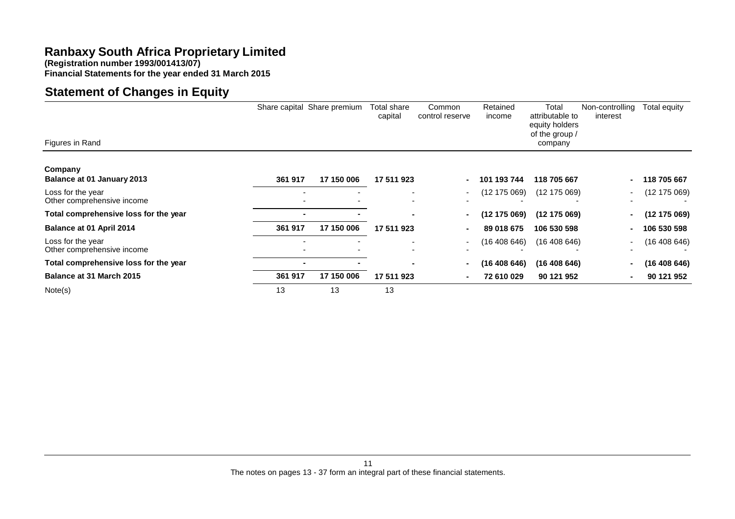**(Registration number 1993/001413/07)**

**Financial Statements for the year ended 31 March 2015**

# **Statement of Changes in Equity**

|                                                 |                | Share capital Share premium | Total share<br>capital | Common<br>control reserve | Retained<br>income | Total<br>attributable to<br>equity holders<br>of the group / | Non-controlling<br>interest | Total equity |
|-------------------------------------------------|----------------|-----------------------------|------------------------|---------------------------|--------------------|--------------------------------------------------------------|-----------------------------|--------------|
| Figures in Rand                                 |                |                             |                        |                           |                    | company                                                      |                             |              |
| Company                                         |                |                             |                        |                           |                    |                                                              |                             |              |
| Balance at 01 January 2013                      | 361 917        | 17 150 006                  | 17 511 923             |                           | 101 193 744        | 118 705 667                                                  |                             | 118 705 667  |
| Loss for the year<br>Other comprehensive income |                | $\overline{\phantom{0}}$    |                        |                           | (12 175 069)       | (12 175 069)                                                 |                             | (12 175 069) |
| Total comprehensive loss for the year           | $\blacksquare$ |                             |                        |                           | (12 175 069)       | (12175069)                                                   |                             | (12 175 069) |
| Balance at 01 April 2014                        | 361 917        | 17 150 006                  | 17 511 923             |                           | 89 018 675         | 106 530 598                                                  |                             | 106 530 598  |
| Loss for the year<br>Other comprehensive income |                |                             |                        | $\sim$                    | (16 408 646)       | (16408646)                                                   |                             | (16408646)   |
| Total comprehensive loss for the year           | $\blacksquare$ |                             |                        |                           | (16 408 646)       | (16 408 646)                                                 |                             | (16 408 646) |
| Balance at 31 March 2015                        | 361 917        | 17 150 006                  | 17 511 923             |                           | 72 610 029         | 90 121 952                                                   |                             | 90 121 952   |
| Note(s)                                         | 13             | 13                          | 13                     |                           |                    |                                                              |                             |              |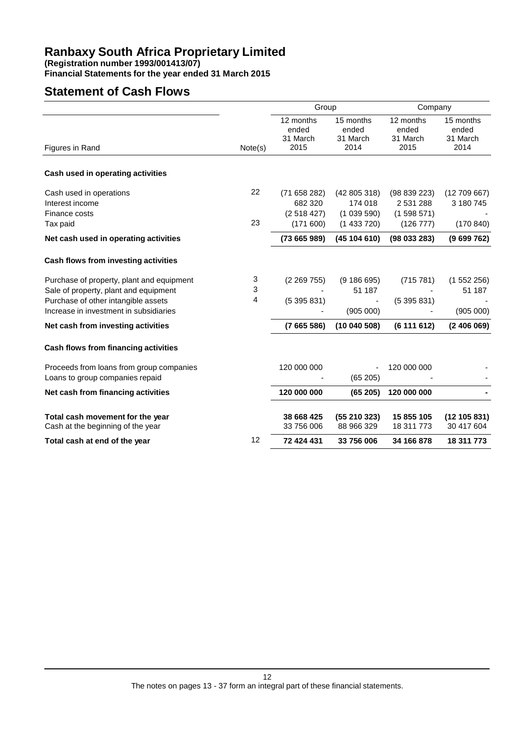**Financial Statements for the year ended 31 March 2015**

### **Statement of Cash Flows**

|                                           |         | Group                          |                                | Company                        |                                |
|-------------------------------------------|---------|--------------------------------|--------------------------------|--------------------------------|--------------------------------|
|                                           |         | 12 months<br>ended<br>31 March | 15 months<br>ended<br>31 March | 12 months<br>ended<br>31 March | 15 months<br>ended<br>31 March |
| Figures in Rand                           | Note(s) | 2015                           | 2014                           | 2015                           | 2014                           |
| Cash used in operating activities         |         |                                |                                |                                |                                |
| Cash used in operations                   | 22      | (71658282)                     | (42805318)                     | (98839223)                     | (12709667)                     |
| Interest income                           |         | 682 320                        | 174 018                        | 2 531 288                      | 3 180 745                      |
| Finance costs                             |         | (2518427)                      | (1039590)                      | (1598571)                      |                                |
| Tax paid                                  | 23      | (171600)                       | (1433720)                      | (126 777)                      | (170840)                       |
| Net cash used in operating activities     |         | (73665989)                     | (45104610)                     | (98033283)                     | (9699762)                      |
| Cash flows from investing activities      |         |                                |                                |                                |                                |
| Purchase of property, plant and equipment | 3       | (2 269 755)                    | (9186695)                      | (715 781)                      | (1552256)                      |
| Sale of property, plant and equipment     | 3       |                                | 51 187                         |                                | 51 187                         |
| Purchase of other intangible assets       | 4       | (5395831)                      |                                | (5395831)                      |                                |
| Increase in investment in subsidiaries    |         |                                | (905 000)                      |                                | (905 000)                      |
| Net cash from investing activities        |         | (7665586)                      | (10040508)                     | (6111612)                      | (2406069)                      |
| Cash flows from financing activities      |         |                                |                                |                                |                                |
| Proceeds from loans from group companies  |         | 120 000 000                    |                                | 120 000 000                    |                                |
| Loans to group companies repaid           |         |                                | (65205)                        |                                |                                |
| Net cash from financing activities        |         | 120 000 000                    | (65205)                        | 120 000 000                    |                                |
| Total cash movement for the year          |         | 38 668 425                     | (55210323)                     | 15 855 105                     | (12105831)                     |
| Cash at the beginning of the year         |         | 33 756 006                     | 88 966 329                     | 18 311 773                     | 30 417 604                     |
| Total cash at end of the year             | 12      | 72 424 431                     | 33 756 006                     | 34 166 878                     | 18 311 773                     |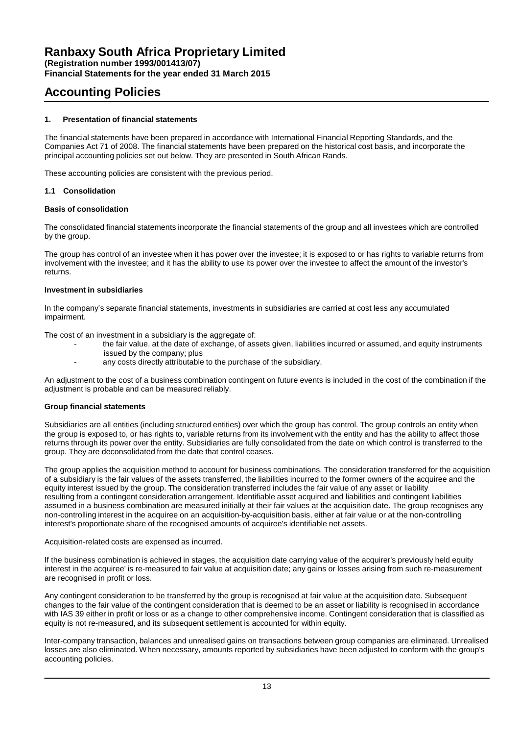**Financial Statements for the year ended 31 March 2015**

### **Accounting Policies**

### **1. Presentation of financial statements**

The financial statements have been prepared in accordance with International Financial Reporting Standards, and the Companies Act 71 of 2008. The financial statements have been prepared on the historical cost basis, and incorporate the principal accounting policies set out below. They are presented in South African Rands.

These accounting policies are consistent with the previous period.

### **1.1 Consolidation**

### **Basis of consolidation**

The consolidated financial statements incorporate the financial statements of the group and all investees which are controlled by the group.

The group has control of an investee when it has power over the investee; it is exposed to or has rights to variable returns from involvement with the investee; and it has the ability to use its power over the investee to affect the amount of the investor's returns.

### **Investment in subsidiaries**

In the company's separate financial statements, investments in subsidiaries are carried at cost less any accumulated impairment.

The cost of an investment in a subsidiary is the aggregate of:

- the fair value, at the date of exchange, of assets given, liabilities incurred or assumed, and equity instruments
- issued by the company; plus
- any costs directly attributable to the purchase of the subsidiary.

An adjustment to the cost of a business combination contingent on future events is included in the cost of the combination if the adjustment is probable and can be measured reliably.

### **Group financial statements**

Subsidiaries are all entities (including structured entities) over which the group has control. The group controls an entity when the group is exposed to, or has rights to, variable returns from its involvement with the entity and has the ability to affect those returns through its power over the entity. Subsidiaries are fully consolidated from the date on which control is transferred to the group. They are deconsolidated from the date that control ceases.

The group applies the acquisition method to account for business combinations. The consideration transferred for the acquisition of a subsidiary is the fair values of the assets transferred, the liabilities incurred to the former owners of the acquiree and the equity interest issued by the group. The consideration transferred includes the fair value of any asset or liability resulting from a contingent consideration arrangement. Identifiable asset acquired and liabilities and contingent liabilities assumed in a business combination are measured initially at their fair values at the acquisition date. The group recognises any non-controlling interest in the acquiree on an acquisition-by-acquisition basis, either at fair value or at the non-controlling interest's proportionate share of the recognised amounts of acquiree's identifiable net assets.

### Acquisition-related costs are expensed as incurred.

If the business combination is achieved in stages, the acquisition date carrying value of the acquirer's previously held equity interest in the acquiree' is re-measured to fair value at acquisition date; any gains or losses arising from such re-measurement are recognised in profit or loss.

Any contingent consideration to be transferred by the group is recognised at fair value at the acquisition date. Subsequent changes to the fair value of the contingent consideration that is deemed to be an asset or liability is recognised in accordance with IAS 39 either in profit or loss or as a change to other comprehensive income. Contingent consideration that is classified as equity is not re-measured, and its subsequent settlement is accounted for within equity.

Inter-company transaction, balances and unrealised gains on transactions between group companies are eliminated. Unrealised losses are also eliminated. When necessary, amounts reported by subsidiaries have been adjusted to conform with the group's accounting policies.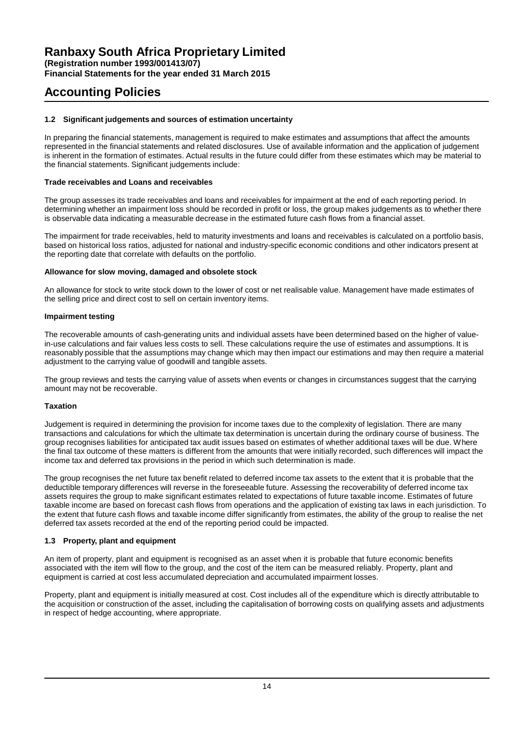# **Accounting Policies**

### **1.2 Significant judgements and sources of estimation uncertainty**

In preparing the financial statements, management is required to make estimates and assumptions that affect the amounts represented in the financial statements and related disclosures. Use of available information and the application of judgement is inherent in the formation of estimates. Actual results in the future could differ from these estimates which may be material to the financial statements. Significant judgements include:

### **Trade receivables and Loans and receivables**

The group assesses its trade receivables and loans and receivables for impairment at the end of each reporting period. In determining whether an impairment loss should be recorded in profit or loss, the group makes judgements as to whether there is observable data indicating a measurable decrease in the estimated future cash flows from a financial asset.

The impairment for trade receivables, held to maturity investments and loans and receivables is calculated on a portfolio basis, based on historical loss ratios, adjusted for national and industry-specific economic conditions and other indicators present at the reporting date that correlate with defaults on the portfolio.

### **Allowance for slow moving, damaged and obsolete stock**

An allowance for stock to write stock down to the lower of cost or net realisable value. Management have made estimates of the selling price and direct cost to sell on certain inventory items.

### **Impairment testing**

The recoverable amounts of cash-generating units and individual assets have been determined based on the higher of valuein-use calculations and fair values less costs to sell. These calculations require the use of estimates and assumptions. It is reasonably possible that the assumptions may change which may then impact our estimations and may then require a material adjustment to the carrying value of goodwill and tangible assets.

The group reviews and tests the carrying value of assets when events or changes in circumstances suggest that the carrying amount may not be recoverable.

### **Taxation**

Judgement is required in determining the provision for income taxes due to the complexity of legislation. There are many transactions and calculations for which the ultimate tax determination is uncertain during the ordinary course of business. The group recognises liabilities for anticipated tax audit issues based on estimates of whether additional taxes will be due. Where the final tax outcome of these matters is different from the amounts that were initially recorded, such differences will impact the income tax and deferred tax provisions in the period in which such determination is made.

The group recognises the net future tax benefit related to deferred income tax assets to the extent that it is probable that the deductible temporary differences will reverse in the foreseeable future. Assessing the recoverability of deferred income tax assets requires the group to make significant estimates related to expectations of future taxable income. Estimates of future taxable income are based on forecast cash flows from operations and the application of existing tax laws in each jurisdiction. To the extent that future cash flows and taxable income differ significantly from estimates, the ability of the group to realise the net deferred tax assets recorded at the end of the reporting period could be impacted.

### **1.3 Property, plant and equipment**

An item of property, plant and equipment is recognised as an asset when it is probable that future economic benefits associated with the item will flow to the group, and the cost of the item can be measured reliably. Property, plant and equipment is carried at cost less accumulated depreciation and accumulated impairment losses.

Property, plant and equipment is initially measured at cost. Cost includes all of the expenditure which is directly attributable to the acquisition or construction of the asset, including the capitalisation of borrowing costs on qualifying assets and adjustments in respect of hedge accounting, where appropriate.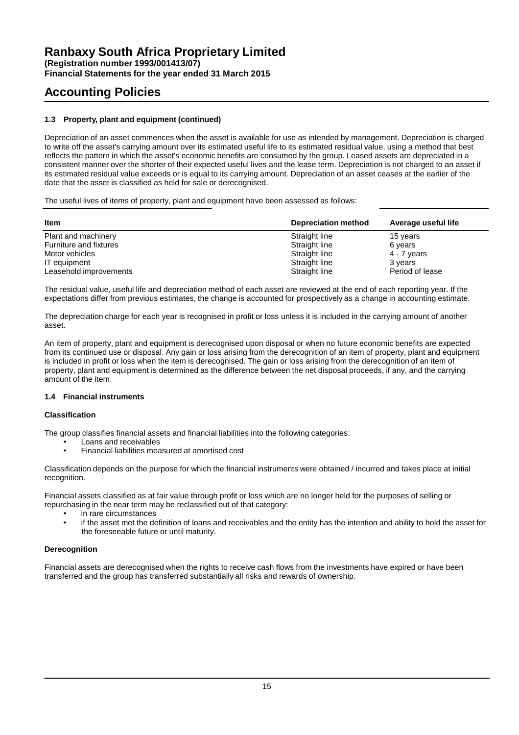**Financial Statements for the year ended 31 March 2015**

# **Accounting Policies**

### **1.3 Property, plant and equipment (continued)**

Depreciation of an asset commences when the asset is available for use as intended by management. Depreciation is charged to write off the asset's carrying amount over its estimated useful life to its estimated residual value, using a method that best reflects the pattern in which the asset's economic benefits are consumed by the group. Leased assets are depreciated in a consistent manner over the shorter of their expected useful lives and the lease term. Depreciation is not charged to an asset if its estimated residual value exceeds or is equal to its carrying amount. Depreciation of an asset ceases at the earlier of the date that the asset is classified as held for sale or derecognised.

The useful lives of items of property, plant and equipment have been assessed as follows:

| <b>Item</b>            | <b>Depreciation method</b> | Average useful life |
|------------------------|----------------------------|---------------------|
| Plant and machinery    | Straight line              | 15 years            |
| Furniture and fixtures | Straight line              | 6 years             |
| Motor vehicles         | Straight line              | $4 - 7$ years       |
| IT equipment           | Straight line              | 3 years             |
| Leasehold improvements | Straight line              | Period of lease     |

The residual value, useful life and depreciation method of each asset are reviewed at the end of each reporting year. If the expectations differ from previous estimates, the change is accounted for prospectively as a change in accounting estimate.

The depreciation charge for each year is recognised in profit or loss unless it is included in the carrying amount of another asset.

An item of property, plant and equipment is derecognised upon disposal or when no future economic benefits are expected from its continued use or disposal. Any gain or loss arising from the derecognition of an item of property, plant and equipment is included in profit or loss when the item is derecognised. The gain or loss arising from the derecognition of an item of property, plant and equipment is determined as the difference between the net disposal proceeds, if any, and the carrying amount of the item.

### **1.4 Financial instruments**

### **Classification**

The group classifies financial assets and financial liabilities into the following categories:

- Loans and receivables
- Financial liabilities measured at amortised cost

Classification depends on the purpose for which the financial instruments were obtained / incurred and takes place at initial recognition.

Financial assets classified as at fair value through profit or loss which are no longer held for the purposes of selling or repurchasing in the near term may be reclassified out of that category:

- in rare circumstances
- if the asset met the definition of loans and receivables and the entity has the intention and ability to hold the asset for the foreseeable future or until maturity.

### **Derecognition**

Financial assets are derecognised when the rights to receive cash flows from the investments have expired or have been transferred and the group has transferred substantially all risks and rewards of ownership.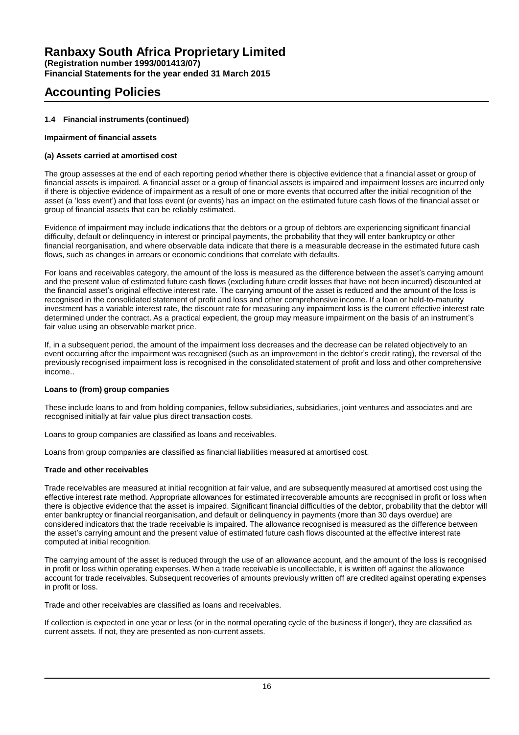**Financial Statements for the year ended 31 March 2015**

# **Accounting Policies**

### **1.4 Financial instruments (continued)**

### **Impairment of financial assets**

### **(a) Assets carried at amortised cost**

The group assesses at the end of each reporting period whether there is objective evidence that a financial asset or group of financial assets is impaired. A financial asset or a group of financial assets is impaired and impairment losses are incurred only if there is objective evidence of impairment as a result of one or more events that occurred after the initial recognition of the asset (a 'loss event') and that loss event (or events) has an impact on the estimated future cash flows of the financial asset or group of financial assets that can be reliably estimated.

Evidence of impairment may include indications that the debtors or a group of debtors are experiencing significant financial difficulty, default or delinquency in interest or principal payments, the probability that they will enter bankruptcy or other financial reorganisation, and where observable data indicate that there is a measurable decrease in the estimated future cash flows, such as changes in arrears or economic conditions that correlate with defaults.

For loans and receivables category, the amount of the loss is measured as the difference between the asset's carrying amount and the present value of estimated future cash flows (excluding future credit losses that have not been incurred) discounted at the financial asset's original effective interest rate. The carrying amount of the asset is reduced and the amount of the loss is recognised in the consolidated statement of profit and loss and other comprehensive income. If a loan or held-to-maturity investment has a variable interest rate, the discount rate for measuring any impairment loss is the current effective interest rate determined under the contract. As a practical expedient, the group may measure impairment on the basis of an instrument's fair value using an observable market price.

If, in a subsequent period, the amount of the impairment loss decreases and the decrease can be related objectively to an event occurring after the impairment was recognised (such as an improvement in the debtor's credit rating), the reversal of the previously recognised impairment loss is recognised in the consolidated statement of profit and loss and other comprehensive income..

### **Loans to (from) group companies**

These include loans to and from holding companies, fellow subsidiaries, subsidiaries, joint ventures and associates and are recognised initially at fair value plus direct transaction costs.

Loans to group companies are classified as loans and receivables.

Loans from group companies are classified as financial liabilities measured at amortised cost.

### **Trade and other receivables**

Trade receivables are measured at initial recognition at fair value, and are subsequently measured at amortised cost using the effective interest rate method. Appropriate allowances for estimated irrecoverable amounts are recognised in profit or loss when there is objective evidence that the asset is impaired. Significant financial difficulties of the debtor, probability that the debtor will enter bankruptcy or financial reorganisation, and default or delinquency in payments (more than 30 days overdue) are considered indicators that the trade receivable is impaired. The allowance recognised is measured as the difference between the asset's carrying amount and the present value of estimated future cash flows discounted at the effective interest rate computed at initial recognition.

The carrying amount of the asset is reduced through the use of an allowance account, and the amount of the loss is recognised in profit or loss within operating expenses. When a trade receivable is uncollectable, it is written off against the allowance account for trade receivables. Subsequent recoveries of amounts previously written off are credited against operating expenses in profit or loss.

Trade and other receivables are classified as loans and receivables.

If collection is expected in one year or less (or in the normal operating cycle of the business if longer), they are classified as current assets. If not, they are presented as non-current assets.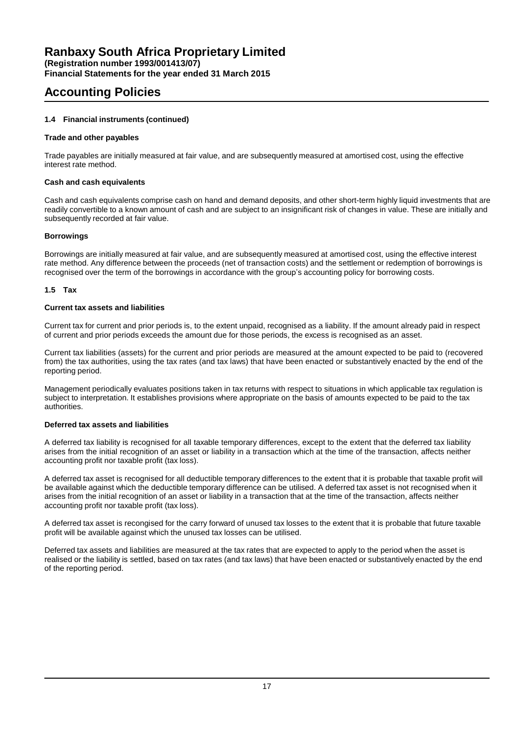**Financial Statements for the year ended 31 March 2015**

### **Accounting Policies**

### **1.4 Financial instruments (continued)**

### **Trade and other payables**

Trade payables are initially measured at fair value, and are subsequently measured at amortised cost, using the effective interest rate method.

### **Cash and cash equivalents**

Cash and cash equivalents comprise cash on hand and demand deposits, and other short-term highly liquid investments that are readily convertible to a known amount of cash and are subject to an insignificant risk of changes in value. These are initially and subsequently recorded at fair value.

### **Borrowings**

Borrowings are initially measured at fair value, and are subsequently measured at amortised cost, using the effective interest rate method. Any difference between the proceeds (net of transaction costs) and the settlement or redemption of borrowings is recognised over the term of the borrowings in accordance with the group's accounting policy for borrowing costs.

### **1.5 Tax**

### **Current tax assets and liabilities**

Current tax for current and prior periods is, to the extent unpaid, recognised as a liability. If the amount already paid in respect of current and prior periods exceeds the amount due for those periods, the excess is recognised as an asset.

Current tax liabilities (assets) for the current and prior periods are measured at the amount expected to be paid to (recovered from) the tax authorities, using the tax rates (and tax laws) that have been enacted or substantively enacted by the end of the reporting period.

Management periodically evaluates positions taken in tax returns with respect to situations in which applicable tax regulation is subject to interpretation. It establishes provisions where appropriate on the basis of amounts expected to be paid to the tax authorities.

### **Deferred tax assets and liabilities**

A deferred tax liability is recognised for all taxable temporary differences, except to the extent that the deferred tax liability arises from the initial recognition of an asset or liability in a transaction which at the time of the transaction, affects neither accounting profit nor taxable profit (tax loss).

A deferred tax asset is recognised for all deductible temporary differences to the extent that it is probable that taxable profit will be available against which the deductible temporary difference can be utilised. A deferred tax asset is not recognised when it arises from the initial recognition of an asset or liability in a transaction that at the time of the transaction, affects neither accounting profit nor taxable profit (tax loss).

A deferred tax asset is recongised for the carry forward of unused tax losses to the extent that it is probable that future taxable profit will be available against which the unused tax losses can be utilised.

Deferred tax assets and liabilities are measured at the tax rates that are expected to apply to the period when the asset is realised or the liability is settled, based on tax rates (and tax laws) that have been enacted or substantively enacted by the end of the reporting period.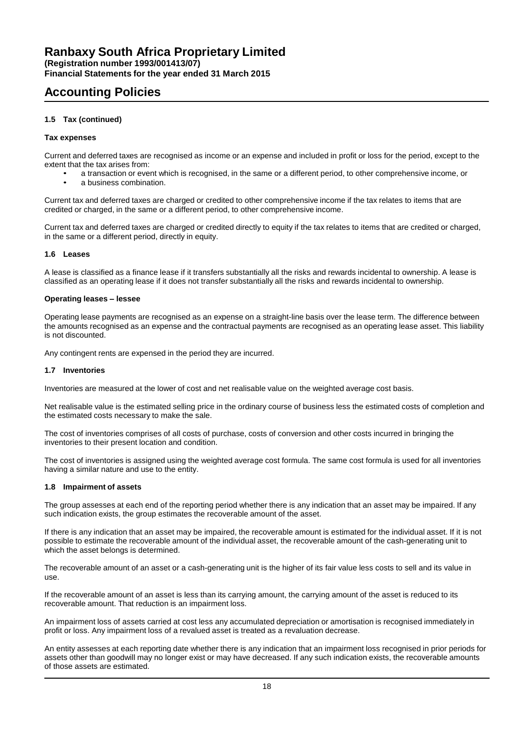**Financial Statements for the year ended 31 March 2015**

# **Accounting Policies**

### **1.5 Tax (continued)**

### **Tax expenses**

Current and deferred taxes are recognised as income or an expense and included in profit or loss for the period, except to the extent that the tax arises from:

• a transaction or event which is recognised, in the same or a different period, to other comprehensive income, or a business combination.

Current tax and deferred taxes are charged or credited to other comprehensive income if the tax relates to items that are credited or charged, in the same or a different period, to other comprehensive income.

Current tax and deferred taxes are charged or credited directly to equity if the tax relates to items that are credited or charged, in the same or a different period, directly in equity.

### **1.6 Leases**

A lease is classified as a finance lease if it transfers substantially all the risks and rewards incidental to ownership. A lease is classified as an operating lease if it does not transfer substantially all the risks and rewards incidental to ownership.

#### **Operating leases – lessee**

Operating lease payments are recognised as an expense on a straight-line basis over the lease term. The difference between the amounts recognised as an expense and the contractual payments are recognised as an operating lease asset. This liability is not discounted.

Any contingent rents are expensed in the period they are incurred.

#### **1.7 Inventories**

Inventories are measured at the lower of cost and net realisable value on the weighted average cost basis.

Net realisable value is the estimated selling price in the ordinary course of business less the estimated costs of completion and the estimated costs necessary to make the sale.

The cost of inventories comprises of all costs of purchase, costs of conversion and other costs incurred in bringing the inventories to their present location and condition.

The cost of inventories is assigned using the weighted average cost formula. The same cost formula is used for all inventories having a similar nature and use to the entity.

#### **1.8 Impairment of assets**

The group assesses at each end of the reporting period whether there is any indication that an asset may be impaired. If any such indication exists, the group estimates the recoverable amount of the asset.

If there is any indication that an asset may be impaired, the recoverable amount is estimated for the individual asset. If it is not possible to estimate the recoverable amount of the individual asset, the recoverable amount of the cash-generating unit to which the asset belongs is determined.

The recoverable amount of an asset or a cash-generating unit is the higher of its fair value less costs to sell and its value in use.

If the recoverable amount of an asset is less than its carrying amount, the carrying amount of the asset is reduced to its recoverable amount. That reduction is an impairment loss.

An impairment loss of assets carried at cost less any accumulated depreciation or amortisation is recognised immediately in profit or loss. Any impairment loss of a revalued asset is treated as a revaluation decrease.

An entity assesses at each reporting date whether there is any indication that an impairment loss recognised in prior periods for assets other than goodwill may no longer exist or may have decreased. If any such indication exists, the recoverable amounts of those assets are estimated.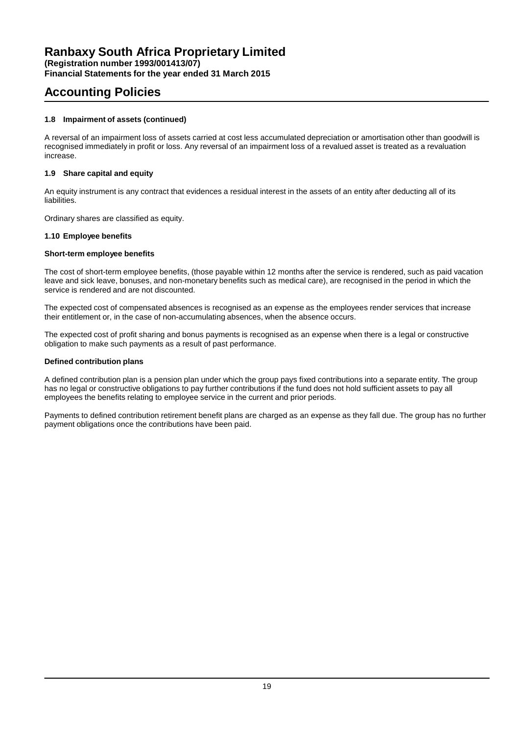**Financial Statements for the year ended 31 March 2015**

### **Accounting Policies**

### **1.8 Impairment of assets (continued)**

A reversal of an impairment loss of assets carried at cost less accumulated depreciation or amortisation other than goodwill is recognised immediately in profit or loss. Any reversal of an impairment loss of a revalued asset is treated as a revaluation increase.

### **1.9 Share capital and equity**

An equity instrument is any contract that evidences a residual interest in the assets of an entity after deducting all of its liabilities.

Ordinary shares are classified as equity.

### **1.10 Employee benefits**

### **Short-term employee benefits**

The cost of short-term employee benefits, (those payable within 12 months after the service is rendered, such as paid vacation leave and sick leave, bonuses, and non-monetary benefits such as medical care), are recognised in the period in which the service is rendered and are not discounted.

The expected cost of compensated absences is recognised as an expense as the employees render services that increase their entitlement or, in the case of non-accumulating absences, when the absence occurs.

The expected cost of profit sharing and bonus payments is recognised as an expense when there is a legal or constructive obligation to make such payments as a result of past performance.

### **Defined contribution plans**

A defined contribution plan is a pension plan under which the group pays fixed contributions into a separate entity. The group has no legal or constructive obligations to pay further contributions if the fund does not hold sufficient assets to pay all employees the benefits relating to employee service in the current and prior periods.

Payments to defined contribution retirement benefit plans are charged as an expense as they fall due. The group has no further payment obligations once the contributions have been paid.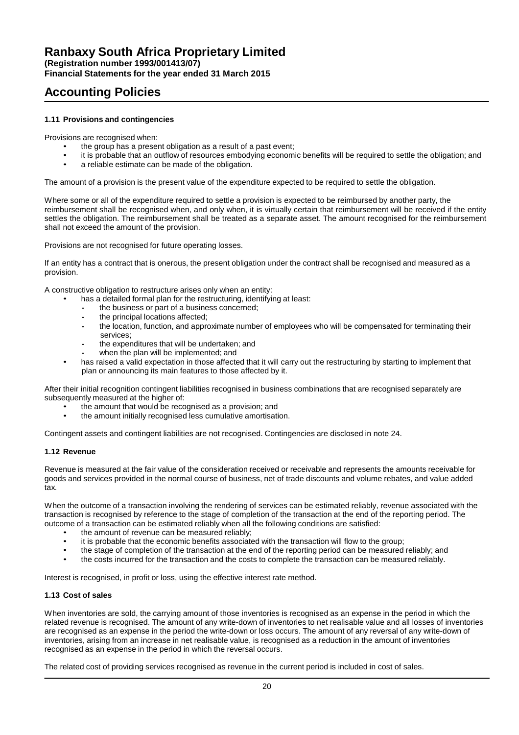**Financial Statements for the year ended 31 March 2015**

### **Accounting Policies**

### **1.11 Provisions and contingencies**

Provisions are recognised when:

- the group has a present obligation as a result of a past event;
- it is probable that an outflow of resources embodying economic benefits will be required to settle the obligation; and<br>
a settleble optimate can be mode of the obligation
- a reliable estimate can be made of the obligation.

The amount of a provision is the present value of the expenditure expected to be required to settle the obligation.

Where some or all of the expenditure required to settle a provision is expected to be reimbursed by another party, the reimbursement shall be recognised when, and only when, it is virtually certain that reimbursement will be received if the entity settles the obligation. The reimbursement shall be treated as a separate asset. The amount recognised for the reimbursement shall not exceed the amount of the provision.

Provisions are not recognised for future operating losses.

If an entity has a contract that is onerous, the present obligation under the contract shall be recognised and measured as a provision.

A constructive obligation to restructure arises only when an entity:

- has a detailed formal plan for the restructuring, identifying at least:
	- **-** the business or part of a business concerned;
	- **-** the principal locations affected;
	- **-** the location, function, and approximate number of employees who will be compensated for terminating their services;
	- **-** the expenditures that will be undertaken; and **-** when the plan will be implemented; and
- has raised a valid expectation in those affected that it will carry out the restructuring by starting to implement that plan or announcing its main features to those affected by it.

After their initial recognition contingent liabilities recognised in business combinations that are recognised separately are subsequently measured at the higher of:

- the amount that would be recognised as a provision; and
- the amount initially recognised less cumulative amortisation.

Contingent assets and contingent liabilities are not recognised. Contingencies are disclosed in note 24.

### **1.12 Revenue**

Revenue is measured at the fair value of the consideration received or receivable and represents the amounts receivable for goods and services provided in the normal course of business, net of trade discounts and volume rebates, and value added tax.

When the outcome of a transaction involving the rendering of services can be estimated reliably, revenue associated with the transaction is recognised by reference to the stage of completion of the transaction at the end of the reporting period. The outcome of a transaction can be estimated reliably when all the following conditions are satisfied:

- the amount of revenue can be measured reliably;<br>it is probable that the concernic benefits associate
- it is probable that the economic benefits associated with the transaction will flow to the group;
- the stage of completion of the transaction at the end of the reporting period can be measured reliably; and
- the costs incurred for the transaction and the costs to complete the transaction can be measured reliably.

Interest is recognised, in profit or loss, using the effective interest rate method.

### **1.13 Cost of sales**

When inventories are sold, the carrying amount of those inventories is recognised as an expense in the period in which the related revenue is recognised. The amount of any write-down of inventories to net realisable value and all losses of inventories are recognised as an expense in the period the write-down or loss occurs. The amount of any reversal of any write-down of inventories, arising from an increase in net realisable value, is recognised as a reduction in the amount of inventories recognised as an expense in the period in which the reversal occurs.

The related cost of providing services recognised as revenue in the current period is included in cost of sales.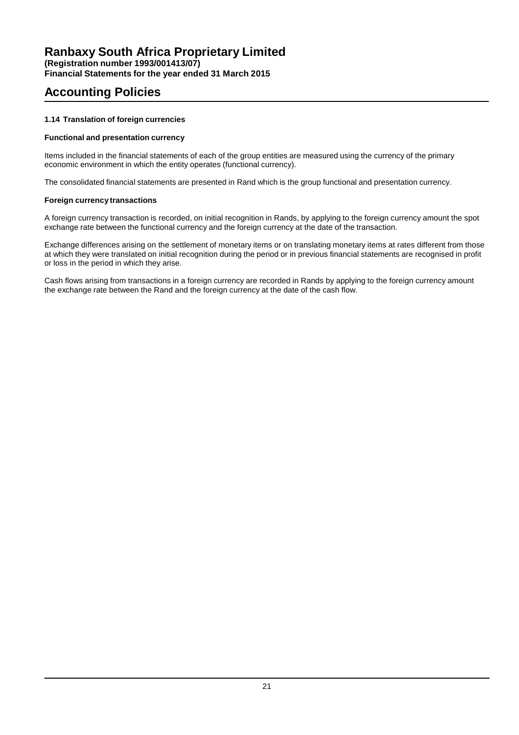**Financial Statements for the year ended 31 March 2015**

# **Accounting Policies**

### **1.14 Translation of foreign currencies**

### **Functional and presentation currency**

Items included in the financial statements of each of the group entities are measured using the currency of the primary economic environment in which the entity operates (functional currency).

The consolidated financial statements are presented in Rand which is the group functional and presentation currency.

### **Foreign currency transactions**

A foreign currency transaction is recorded, on initial recognition in Rands, by applying to the foreign currency amount the spot exchange rate between the functional currency and the foreign currency at the date of the transaction.

Exchange differences arising on the settlement of monetary items or on translating monetary items at rates different from those at which they were translated on initial recognition during the period or in previous financial statements are recognised in profit or loss in the period in which they arise.

Cash flows arising from transactions in a foreign currency are recorded in Rands by applying to the foreign currency amount the exchange rate between the Rand and the foreign currency at the date of the cash flow.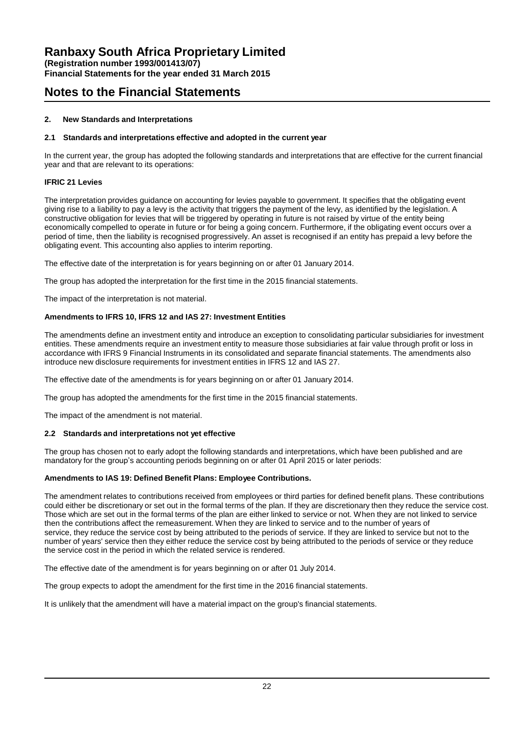**Financial Statements for the year ended 31 March 2015**

### **Notes to the Financial Statements**

### **2. New Standards and Interpretations**

### **2.1 Standards and interpretations effective and adopted in the current year**

In the current year, the group has adopted the following standards and interpretations that are effective for the current financial year and that are relevant to its operations:

### **IFRIC 21 Levies**

The interpretation provides guidance on accounting for levies payable to government. It specifies that the obligating event giving rise to a liability to pay a levy is the activity that triggers the payment of the levy, as identified by the legislation. A constructive obligation for levies that will be triggered by operating in future is not raised by virtue of the entity being economically compelled to operate in future or for being a going concern. Furthermore, if the obligating event occurs over a period of time, then the liability is recognised progressively. An asset is recognised if an entity has prepaid a levy before the obligating event. This accounting also applies to interim reporting.

The effective date of the interpretation is for years beginning on or after 01 January 2014.

The group has adopted the interpretation for the first time in the 2015 financial statements.

The impact of the interpretation is not material.

### **Amendments to IFRS 10, IFRS 12 and IAS 27: Investment Entities**

The amendments define an investment entity and introduce an exception to consolidating particular subsidiaries for investment entities. These amendments require an investment entity to measure those subsidiaries at fair value through profit or loss in accordance with IFRS 9 Financial Instruments in its consolidated and separate financial statements. The amendments also introduce new disclosure requirements for investment entities in IFRS 12 and IAS 27.

The effective date of the amendments is for years beginning on or after 01 January 2014.

The group has adopted the amendments for the first time in the 2015 financial statements.

The impact of the amendment is not material.

### **2.2 Standards and interpretations not yet effective**

The group has chosen not to early adopt the following standards and interpretations, which have been published and are mandatory for the group's accounting periods beginning on or after 01 April 2015 or later periods:

### **Amendments to IAS 19: Defined Benefit Plans: Employee Contributions.**

The amendment relates to contributions received from employees or third parties for defined benefit plans. These contributions could either be discretionary or set out in the formal terms of the plan. If they are discretionary then they reduce the service cost. Those which are set out in the formal terms of the plan are either linked to service or not. When they are not linked to service then the contributions affect the remeasurement. When they are linked to service and to the number of years of service, they reduce the service cost by being attributed to the periods of service. If they are linked to service but not to the number of years' service then they either reduce the service cost by being attributed to the periods of service or they reduce the service cost in the period in which the related service is rendered.

The effective date of the amendment is for years beginning on or after 01 July 2014.

The group expects to adopt the amendment for the first time in the 2016 financial statements.

It is unlikely that the amendment will have a material impact on the group's financial statements.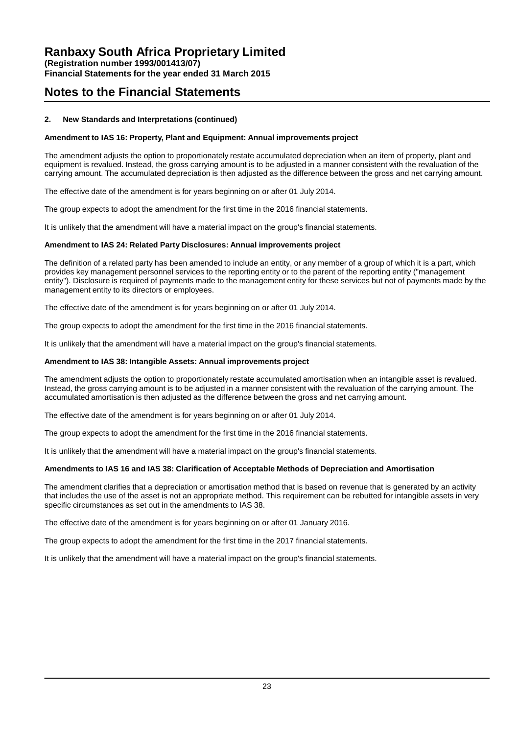**Financial Statements for the year ended 31 March 2015**

### **Notes to the Financial Statements**

### **2. New Standards and Interpretations (continued)**

### **Amendment to IAS 16: Property, Plant and Equipment: Annual improvements project**

The amendment adjusts the option to proportionately restate accumulated depreciation when an item of property, plant and equipment is revalued. Instead, the gross carrying amount is to be adjusted in a manner consistent with the revaluation of the carrying amount. The accumulated depreciation is then adjusted as the difference between the gross and net carrying amount.

The effective date of the amendment is for years beginning on or after 01 July 2014.

The group expects to adopt the amendment for the first time in the 2016 financial statements.

It is unlikely that the amendment will have a material impact on the group's financial statements.

### **Amendment to IAS 24: Related Party Disclosures: Annual improvements project**

The definition of a related party has been amended to include an entity, or any member of a group of which it is a part, which provides key management personnel services to the reporting entity or to the parent of the reporting entity ("management entity"). Disclosure is required of payments made to the management entity for these services but not of payments made by the management entity to its directors or employees.

The effective date of the amendment is for years beginning on or after 01 July 2014.

The group expects to adopt the amendment for the first time in the 2016 financial statements.

It is unlikely that the amendment will have a material impact on the group's financial statements.

### **Amendment to IAS 38: Intangible Assets: Annual improvements project**

The amendment adjusts the option to proportionately restate accumulated amortisation when an intangible asset is revalued. Instead, the gross carrying amount is to be adjusted in a manner consistent with the revaluation of the carrying amount. The accumulated amortisation is then adjusted as the difference between the gross and net carrying amount.

The effective date of the amendment is for years beginning on or after 01 July 2014.

The group expects to adopt the amendment for the first time in the 2016 financial statements.

It is unlikely that the amendment will have a material impact on the group's financial statements.

### **Amendments to IAS 16 and IAS 38: Clarification of Acceptable Methods of Depreciation and Amortisation**

The amendment clarifies that a depreciation or amortisation method that is based on revenue that is generated by an activity that includes the use of the asset is not an appropriate method. This requirement can be rebutted for intangible assets in very specific circumstances as set out in the amendments to IAS 38.

The effective date of the amendment is for years beginning on or after 01 January 2016.

The group expects to adopt the amendment for the first time in the 2017 financial statements.

It is unlikely that the amendment will have a material impact on the group's financial statements.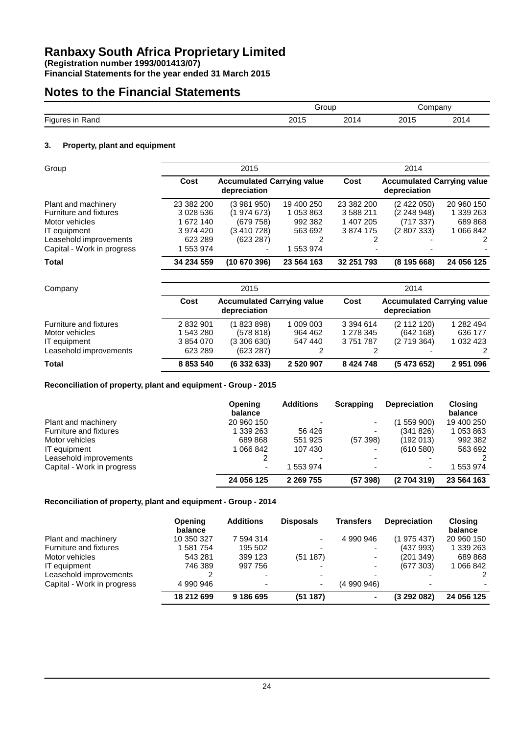**(Registration number 1993/001413/07)**

**Financial Statements for the year ended 31 March 2015**

# **Notes to the Financial Statements**

|                             |                  | irour | npanv         |              |  |
|-----------------------------|------------------|-------|---------------|--------------|--|
| $-$<br>≺and<br><b>Figur</b> | r c<br>. ש<br>∠∪ | ∘∩∩   | ገበኅ<br>20 I J | ว∩1<br>ZU I' |  |

### **3. Property, plant and equipment**

| Group                      | 2015       |                                                   |            | 2014       |                                                   |            |  |
|----------------------------|------------|---------------------------------------------------|------------|------------|---------------------------------------------------|------------|--|
|                            | Cost       | <b>Accumulated Carrying value</b><br>depreciation |            | Cost       | <b>Accumulated Carrying value</b><br>depreciation |            |  |
| Plant and machinery        | 23 382 200 | (3 981 950)                                       | 19 400 250 | 23 382 200 | (2422050)                                         | 20 960 150 |  |
| Furniture and fixtures     | 3 028 536  | (1 974 673)                                       | 1 053 863  | 3 588 211  | (2 248 948)                                       | 1 339 263  |  |
| Motor vehicles             | 1 672 140  | (679 758)                                         | 992 382    | 1 407 205  | (717337)                                          | 689 868    |  |
| IT equipment               | 3 974 420  | (3 410 728)                                       | 563 692    | 3874175    | (2807333)                                         | 1 066 842  |  |
| Leasehold improvements     | 623 289    | (623 287)                                         | 2          |            |                                                   | 2          |  |
| Capital - Work in progress | 1 553 974  | $\overline{\phantom{0}}$                          | 1 553 974  |            |                                                   |            |  |
| <b>Total</b>               | 34 234 559 | (10 670 396)                                      | 23 564 163 | 32 251 793 | (8195668)                                         | 24 056 125 |  |

| Company                |           | 2015                                              |           |               | 2014                                              |           |  |  |
|------------------------|-----------|---------------------------------------------------|-----------|---------------|---------------------------------------------------|-----------|--|--|
|                        | Cost      | <b>Accumulated Carrying value</b><br>depreciation |           | Cost          | <b>Accumulated Carrying value</b><br>depreciation |           |  |  |
| Furniture and fixtures | 2 832 901 | (1823898)                                         | 1 009 003 | 3 3 9 4 6 1 4 | (2 112 120)                                       | 1 282 494 |  |  |
| Motor vehicles         | 1 543 280 | (578818)                                          | 964 462   | 1 278 345     | (642168)                                          | 636 177   |  |  |
| IT equipment           | 3 854 070 | (3306630)                                         | 547 440   | 3 751 787     | (2719364)                                         | 1 032 423 |  |  |
| Leasehold improvements | 623 289   | (623 287)                                         |           |               |                                                   |           |  |  |
| <b>Total</b>           | 8 853 540 | (633263)                                          | 2 520 907 | 8 4 24 7 48   | (5473652)                                         | 2951096   |  |  |

### **Reconciliation of property, plant and equipment - Group - 2015**

|                            | <b>Opening</b><br>balance | <b>Additions</b>         | Scrapping | <b>Depreciation</b> | <b>Closing</b><br>balance |
|----------------------------|---------------------------|--------------------------|-----------|---------------------|---------------------------|
| Plant and machinery        | 20 960 150                | ٠                        | ٠         | (1559900)           | 19 400 250                |
| Furniture and fixtures     | 1 339 263                 | 56 426                   | -         | (341826)            | 1 053 863                 |
| Motor vehicles             | 689868                    | 551 925                  | (57398)   | (192013)            | 992 382                   |
| IT equipment               | 1 066 842                 | 107430                   | -         | (610580)            | 563 692                   |
| Leasehold improvements     |                           | $\overline{\phantom{0}}$ | -         |                     |                           |
| Capital - Work in progress | -                         | 553 974                  | -         |                     | 553 974                   |
|                            | 24 056 125                | 2 2 69 7 55              | (57398)   | (2704319)           | 23 564 163                |

### **Reconciliation of property, plant and equipment - Group - 2014**

|                            | <b>Opening</b><br>balance | <b>Additions</b>         | <b>Disposals</b>         | <b>Transfers</b>         | <b>Depreciation</b>      | <b>Closing</b><br>balance |
|----------------------------|---------------------------|--------------------------|--------------------------|--------------------------|--------------------------|---------------------------|
| Plant and machinery        | 10 350 327                | 7 594 314                | ٠                        | 4 990 946                | (1975437)                | 20 960 150                |
| Furniture and fixtures     | 1581754                   | 195 502                  | $\overline{\phantom{0}}$ |                          | (437993)                 | 1 339 263                 |
| Motor vehicles             | 543 281                   | 399 123                  | (51187)                  |                          | (201 349)                | 689 868                   |
| IT equipment               | 746 389                   | 997 756                  |                          | $\overline{\phantom{a}}$ | (677303)                 | 1 066 842                 |
| Leasehold improvements     | ົ                         |                          | $\overline{\phantom{0}}$ |                          |                          | $\mathcal{P}$             |
| Capital - Work in progress | 4 990 946                 | $\overline{\phantom{0}}$ | ٠                        | (4 990 946)              | $\overline{\phantom{0}}$ |                           |
|                            | 18 212 699                | 9 186 695                | (51187)                  |                          | (3292082)                | 24 056 125                |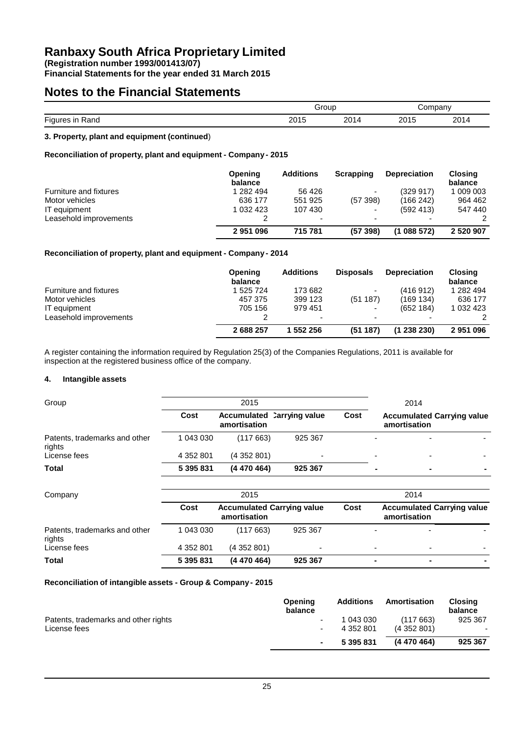**(Registration number 1993/001413/07)**

**Financial Statements for the year ended 31 March 2015**

### **Notes to the Financial Statements**

|                                    |                        | Grour            |                      | npany<br>$\cdots$ |  |
|------------------------------------|------------------------|------------------|----------------------|-------------------|--|
| $- \cdot$<br>in Rand<br>Fiaul<br>ີ | つへんに<br>ZU I J<br>____ | 201<br>້<br>____ | 2015<br>. ٻي<br>____ | ว∩1<br>ZU 14      |  |
|                                    |                        |                  |                      |                   |  |

### **3. Property, plant and equipment (continued**)

### **Reconciliation of property, plant and equipment - Company - 2015**

|                        | Opening<br>balance | <b>Additions</b>         | Scrapping                | <b>Depreciation</b> | <b>Closing</b><br>balance |
|------------------------|--------------------|--------------------------|--------------------------|---------------------|---------------------------|
| Furniture and fixtures | 1 282 494          | 56 426                   | $\blacksquare$           | (329917)            | 1 009 003                 |
| Motor vehicles         | 636 177            | 551 925                  | (57398)                  | (166 242)           | 964 462                   |
| IT equipment           | 1 032 423          | 107 430                  | $\overline{\phantom{a}}$ | (592, 413)          | 547 440                   |
| Leasehold improvements |                    | $\overline{\phantom{0}}$ | $\overline{\phantom{a}}$ | -                   |                           |
|                        | 2951096            | 715 781                  | (57398)                  | (1088572)           | 2 520 907                 |

### **Reconciliation of property, plant and equipment - Company - 2014**

|                        | <b>Opening</b><br>balance | <b>Additions</b>         | <b>Disposals</b>         | <b>Depreciation</b> | <b>Closing</b><br>balance |
|------------------------|---------------------------|--------------------------|--------------------------|---------------------|---------------------------|
| Furniture and fixtures | 1 525 724                 | 173 682                  | $\overline{\phantom{0}}$ | (416912)            | 1 282 494                 |
| Motor vehicles         | 457 375                   | 399 123                  | (51187)                  | (169134)            | 636 177                   |
| IT equipment           | 705 156                   | 979 451                  | $\overline{\phantom{0}}$ | (652 184)           | 1 032 423                 |
| Leasehold improvements |                           | $\overline{\phantom{0}}$ | -                        |                     |                           |
|                        | 2688257                   | 1 552 256                | (51187)                  | (1238230)           | 2951096                   |

A register containing the information required by Regulation 25(3) of the Companies Regulations, 2011 is available for inspection at the registered business office of the company.

### **4. Intangible assets**

| Group                                   |           | 2015         |                            |      |   | 2014                                              |  |
|-----------------------------------------|-----------|--------------|----------------------------|------|---|---------------------------------------------------|--|
|                                         | Cost      | amortisation | Accumulated Carrying value | Cost |   | <b>Accumulated Carrying value</b><br>amortisation |  |
| Patents, trademarks and other<br>rights | 1 043 030 | (117 663)    | 925 367                    |      | - |                                                   |  |
| License fees                            | 4 352 801 | (4352801)    | $\overline{\phantom{0}}$   |      | - |                                                   |  |
| Total                                   | 5 395 831 | (4 470 464)  | 925 367                    |      | ۰ | $\blacksquare$                                    |  |

| Company                                 |           | 2015                                              |         |                                                           |                          | 2014                     |  |
|-----------------------------------------|-----------|---------------------------------------------------|---------|-----------------------------------------------------------|--------------------------|--------------------------|--|
|                                         | Cost      | <b>Accumulated Carrying value</b><br>amortisation |         | <b>Accumulated Carrying value</b><br>Cost<br>amortisation |                          |                          |  |
| Patents, trademarks and other<br>rights | 1 043 030 | (117663)                                          | 925 367 |                                                           | $\overline{\phantom{0}}$ | $\overline{a}$           |  |
| License fees                            | 4 352 801 | (4352801)                                         | ۰       |                                                           | $\overline{\phantom{0}}$ | $\overline{\phantom{0}}$ |  |
| Total                                   | 5 395 831 | (4 470 464)                                       | 925 367 |                                                           |                          |                          |  |

#### **Reconciliation of intangible assets - Group & Company- 2015**

|                                      | <b>Opening</b><br>balance | <b>Additions</b> | Amortisation | <b>Closing</b><br>balance |
|--------------------------------------|---------------------------|------------------|--------------|---------------------------|
| Patents, trademarks and other rights | ٠                         | 1 043 030        | (117663)     | 925 367                   |
| License fees                         | $\overline{\phantom{a}}$  | 4 352 801        | (4352801)    | $\overline{\phantom{a}}$  |
|                                      | $\blacksquare$            | 5 395 831        | (4 470 464)  | 925 367                   |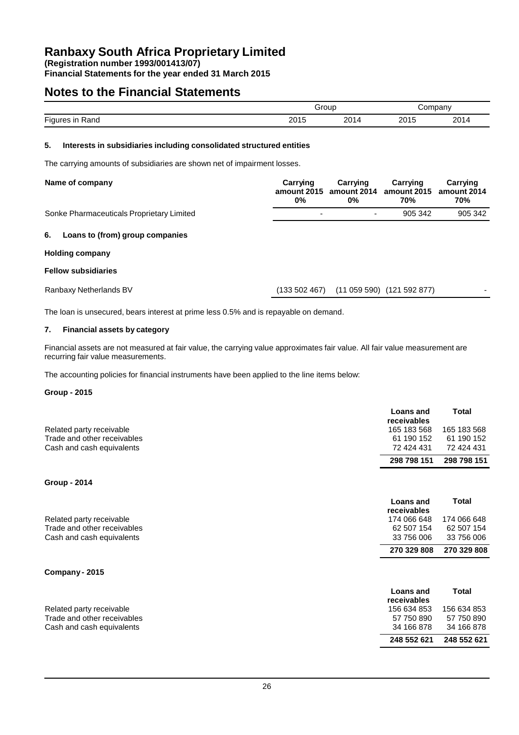**(Registration number 1993/001413/07)**

**Financial Statements for the year ended 31 March 2015**

### **Notes to the Financial Statements**

|                                   | arour             |           |      | mpany       |  |
|-----------------------------------|-------------------|-----------|------|-------------|--|
| $- \cdot$<br><b>Figur</b><br>≺and | 0.015<br>∪ו<br>∠∪ | ົດດາ<br>U | 2015 | ว∩1<br>ZU P |  |

### **5. Interests in subsidiaries including consolidated structured entities**

The carrying amounts of subsidiaries are shown net of impairment losses.

| Name of company                           | Carrving<br>0%           | Carrving<br>amount 2015 amount 2014 amount 2015<br>0% | Carrving<br>70% | Carrving<br>amount 2014<br>70% |
|-------------------------------------------|--------------------------|-------------------------------------------------------|-----------------|--------------------------------|
| Sonke Pharmaceuticals Proprietary Limited | $\overline{\phantom{0}}$ | $\overline{\phantom{0}}$                              | 905 342         | 905 342                        |

### **6. Loans to (from) group companies**

### **Holding company**

#### **Fellow subsidiaries**

Ranbaxy Netherlands BV (133 502 467) (11 059 590) (121 592 877)

The loan is unsecured, bears interest at prime less 0.5% and is repayable on demand.

### **7. Financial assets by category**

Financial assets are not measured at fair value, the carrying value approximates fair value. All fair value measurement are recurring fair value measurements.

The accounting policies for financial instruments have been applied to the line items below:

#### **Group - 2015**

|                             | <b>Loans</b> and<br>receivables | Total       |
|-----------------------------|---------------------------------|-------------|
| Related party receivable    | 165 183 568                     | 165 183 568 |
| Trade and other receivables | 61 190 152                      | 61 190 152  |
| Cash and cash equivalents   | 72 424 431                      | 72 424 431  |
|                             | 298 798 151                     | 298 798 151 |

### **Group - 2014**

|                             | <b>Loans</b> and<br>receivables | Total       |
|-----------------------------|---------------------------------|-------------|
| Related party receivable    | 174 066 648                     | 174 066 648 |
| Trade and other receivables | 62 507 154                      | 62 507 154  |
| Cash and cash equivalents   | 33 756 006                      | 33 756 006  |
|                             | 270 329 808                     | 270 329 808 |

### **Company - 2015**

|                             | <b>Loans</b> and<br>receivables | Total       |
|-----------------------------|---------------------------------|-------------|
| Related party receivable    | 156 634 853                     | 156 634 853 |
| Trade and other receivables | 57 750 890                      | 57 750 890  |
| Cash and cash equivalents   | 34 166 878                      | 34 166 878  |
|                             | 248 552 621                     | 248 552 621 |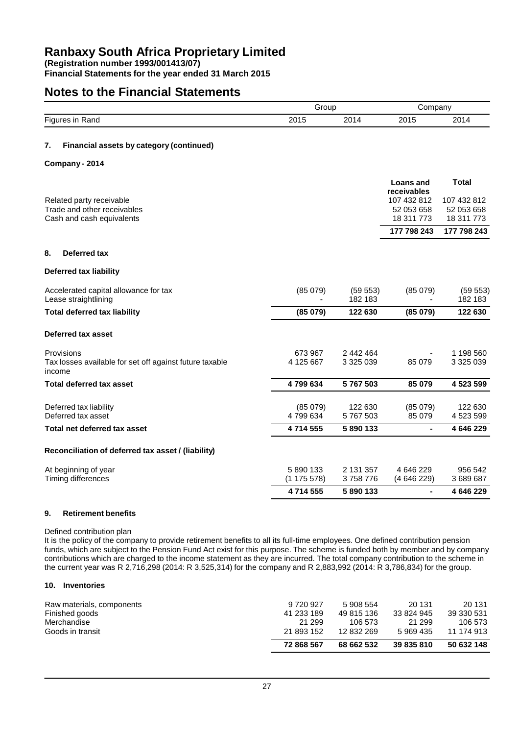**Financial Statements for the year ended 31 March 2015**

### **Notes to the Financial Statements**

|        |                                                                                      |                        | Group                  |                                                                     | Company                                                 |  |
|--------|--------------------------------------------------------------------------------------|------------------------|------------------------|---------------------------------------------------------------------|---------------------------------------------------------|--|
|        | Figures in Rand                                                                      | 2015                   | 2014                   | 2015                                                                | 2014                                                    |  |
| 7.     | Financial assets by category (continued)                                             |                        |                        |                                                                     |                                                         |  |
|        | Company - 2014                                                                       |                        |                        |                                                                     |                                                         |  |
|        | Related party receivable<br>Trade and other receivables<br>Cash and cash equivalents |                        |                        | Loans and<br>receivables<br>107 432 812<br>52 053 658<br>18 311 773 | <b>Total</b><br>107 432 812<br>52 053 658<br>18 311 773 |  |
|        |                                                                                      |                        |                        | 177 798 243                                                         | 177 798 243                                             |  |
| 8.     | <b>Deferred tax</b>                                                                  |                        |                        |                                                                     |                                                         |  |
|        | <b>Deferred tax liability</b>                                                        |                        |                        |                                                                     |                                                         |  |
|        | Accelerated capital allowance for tax<br>Lease straightlining                        | (85079)                | (59 553)<br>182 183    | (85079)                                                             | (59 553)<br>182 183                                     |  |
|        | <b>Total deferred tax liability</b>                                                  | (85079)                | 122 630                | (85079)                                                             | 122 630                                                 |  |
|        | Deferred tax asset                                                                   |                        |                        |                                                                     |                                                         |  |
| income | Provisions<br>Tax losses available for set off against future taxable                | 673 967<br>4 125 667   | 2 442 464<br>3 325 039 | 85 079                                                              | 1 198 560<br>3 325 039                                  |  |
|        | <b>Total deferred tax asset</b>                                                      | 4799634                | 5767503                | 85 079                                                              | 4 523 599                                               |  |
|        | Deferred tax liability<br>Deferred tax asset                                         | (85079)<br>4799634     | 122 630<br>5767503     | (85079)<br>85 079                                                   | 122 630<br>4 523 599                                    |  |
|        | Total net deferred tax asset                                                         | 4714555                | 5890133                | $\blacksquare$                                                      | 4 646 229                                               |  |
|        | Reconciliation of deferred tax asset / (liability)                                   |                        |                        |                                                                     |                                                         |  |
|        | At beginning of year<br>Timing differences                                           | 5 890 133<br>(1175578) | 2 131 357<br>3758776   | 4 646 229<br>(4646229)                                              | 956 542<br>3 689 687                                    |  |
|        |                                                                                      | 4714555                | 5890133                |                                                                     | 4 646 229                                               |  |
|        |                                                                                      |                        |                        |                                                                     |                                                         |  |

### **9. Retirement benefits**

Defined contribution plan

It is the policy of the company to provide retirement benefits to all its full-time employees. One defined contribution pension funds, which are subject to the Pension Fund Act exist for this purpose. The scheme is funded both by member and by company contributions which are charged to the income statement as they are incurred. The total company contribution to the scheme in the current year was R 2,716,298 (2014: R 3,525,314) for the company and R 2,883,992 (2014: R 3,786,834) for the group.

#### **10. Inventories**

|                           | 72 868 567 | 68 662 532 | 39 835 810 | 50 632 148 |
|---------------------------|------------|------------|------------|------------|
| Goods in transit          | 21 893 152 | 12 832 269 | 5 969 435  | 11 174 913 |
| Merchandise               | 21 299     | 106 573    | 21 299     | 106 573    |
| Finished goods            | 41 233 189 | 49 815 136 | 33 824 945 | 39 330 531 |
| Raw materials, components | 9 720 927  | 5 908 554  | 20 131     | 20 131     |
|                           |            |            |            |            |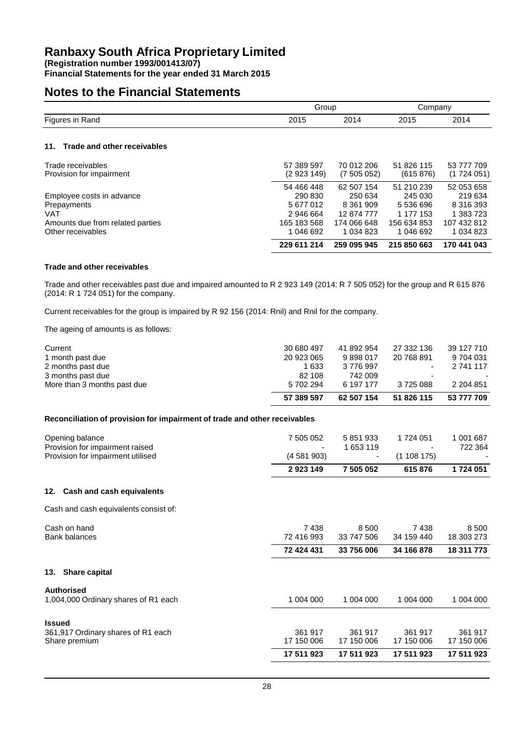**Financial Statements for the year ended 31 March 2015**

### **Notes to the Financial Statements**

|                                    | Group       |             | Company     |              |
|------------------------------------|-------------|-------------|-------------|--------------|
| Figures in Rand                    | 2015        | 2014        | 2015        | 2014         |
|                                    |             |             |             |              |
| Trade and other receivables<br>11. |             |             |             |              |
| Trade receivables                  | 57 389 597  | 70 012 206  | 51 826 115  | 53 777 709   |
| Provision for impairment           | (2923149)   | (7505052)   | (615 876)   | (1724051)    |
|                                    | 54 466 448  | 62 507 154  | 51 210 239  | 52 053 658   |
| Employee costs in advance          | 290 830     | 250 634     | 245 030     | 219634       |
| Prepayments                        | 5 677 012   | 8 3 61 9 09 | 5 536 696   | 8 316 393    |
| <b>VAT</b>                         | 2946664     | 12874777    | 1 177 153   | 1 383 723    |
| Amounts due from related parties   | 165 183 568 | 174 066 648 | 156 634 853 | 107 432 812  |
| Other receivables                  | 1 046 692   | 1 0 34 8 23 | 1 046 692   | 1 0 34 8 2 3 |
|                                    | 229 611 214 | 259 095 945 | 215 850 663 | 170 441 043  |

### **Trade and other receivables**

Trade and other receivables past due and impaired amounted to R 2 923 149 (2014: R 7 505 052) for the group and R 615 876 (2014: R 1 724 051) for the company.

Current receivables for the group is impaired by R 92 156 (2014: Rnil) and Rnil for the company.

The ageing of amounts is as follows:

|                             | 57 389 597 | 62 507 154 | 51 826 115               | 53 777 709 |
|-----------------------------|------------|------------|--------------------------|------------|
| More than 3 months past due | 5 702 294  | 6 197 177  | 3725088                  | 2 204 851  |
| 3 months past due           | 82 108     | 742 009    | $\overline{\phantom{0}}$ | ۰          |
| 2 months past due           | 1 633      | 3 776 997  | $\blacksquare$           | 2 741 117  |
| 1 month past due            | 20 923 065 | 9898017    | 20 768 891               | 9 704 031  |
| Current                     | 30 680 497 | 41 892 954 | 27 332 136               | 39 127 710 |
|                             |            |            |                          |            |

### **Reconciliation of provision for impairment of trade and other receivables**

| Opening balance<br>Provision for impairment raised<br>Provision for impairment utilised | 7 505 052<br>(4 581 903)<br>2923149 | 5 851 933<br>1 653 119<br>۰<br>7 505 052 | 1 724 051<br>(1108175)<br>615876 | 1 001 687<br>722 364<br>1724 051  |
|-----------------------------------------------------------------------------------------|-------------------------------------|------------------------------------------|----------------------------------|-----------------------------------|
| 12. Cash and cash equivalents                                                           |                                     |                                          |                                  |                                   |
| Cash and cash equivalents consist of:                                                   |                                     |                                          |                                  |                                   |
| Cash on hand<br><b>Bank balances</b>                                                    | 7438<br>72 416 993<br>72 424 431    | 8 500<br>33 747 506<br>33 756 006        | 7438<br>34 159 440<br>34 166 878 | 8 500<br>18 303 273<br>18 311 773 |
| <b>Share capital</b><br>13.                                                             |                                     |                                          |                                  |                                   |
| Authorised<br>1,004,000 Ordinary shares of R1 each                                      | 1 004 000                           | 1 004 000                                | 1 004 000                        | 1 004 000                         |
| <b>Issued</b>                                                                           |                                     |                                          |                                  |                                   |
| 361,917 Ordinary shares of R1 each<br>Share premium                                     | 361 917<br>17 150 006               | 361 917<br>17 150 006                    | 361 917<br>17 150 006            | 361 917<br>17 150 006             |
|                                                                                         | 17 511 923                          | 17 511 923                               | 17 511 923                       | 17 511 923                        |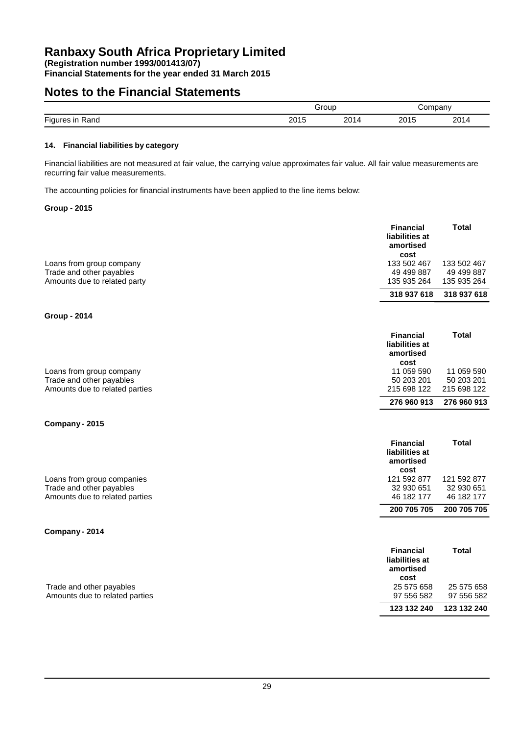**Financial Statements for the year ended 31 March 2015**

### **Notes to the Financial Statements**

|                              |               | Group<br>$ -$     |              | ompany |  |
|------------------------------|---------------|-------------------|--------------|--------|--|
| <b>Figures</b><br>Rand<br>ır | つへんに<br>ZU 15 | ດ∩∗<br><u>_ v</u> | 2015<br>uit. | 2014   |  |

### **14. Financial liabilities by category**

Financial liabilities are not measured at fair value, the carrying value approximates fair value. All fair value measurements are recurring fair value measurements.

The accounting policies for financial instruments have been applied to the line items below:

### **Group - 2015**

|                              | <b>Financial</b><br>liabilities at<br>amortised<br>cost | Total       |
|------------------------------|---------------------------------------------------------|-------------|
| Loans from group company     | 133 502 467                                             | 133 502 467 |
| Trade and other payables     | 49 499 887                                              | 49 499 887  |
| Amounts due to related party | 135 935 264                                             | 135 935 264 |
|                              | 318 937 618                                             | 318 937 618 |
|                              |                                                         |             |

**Group - 2014**

|                                | <b>Financial</b><br>liabilities at<br>amortised<br>cost | Total       |
|--------------------------------|---------------------------------------------------------|-------------|
| Loans from group company       | 11 059 590                                              | 11 059 590  |
| Trade and other payables       | 50 203 201                                              | 50 203 201  |
| Amounts due to related parties | 215 698 122                                             | 215 698 122 |
|                                | 276 960 913                                             | 276 960 913 |

#### **Company - 2015**

|                                | <b>Financial</b><br>liabilities at<br>amortised<br>cost | Total       |
|--------------------------------|---------------------------------------------------------|-------------|
| Loans from group companies     | 121 592 877                                             | 121 592 877 |
| Trade and other payables       | 32 930 651                                              | 32 930 651  |
| Amounts due to related parties | 46 182 177                                              | 46 182 177  |
|                                | 200 705 705                                             | 200 705 705 |

### **Company - 2014**

|                                | <b>Financial</b><br>liabilities at<br>amortised<br>cost | <b>Total</b> |
|--------------------------------|---------------------------------------------------------|--------------|
| Trade and other payables       | 25 575 658                                              | 25 575 658   |
| Amounts due to related parties | 97 556 582                                              | 97 556 582   |
|                                | 123 132 240                                             | 123 132 240  |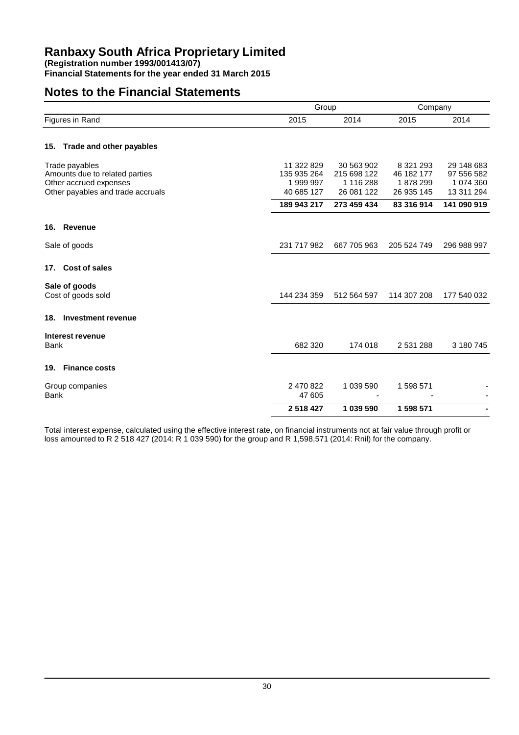**Financial Statements for the year ended 31 March 2015**

# **Notes to the Financial Statements**

|                                                                                                                 |                                                    | Group                                                |                                                     | Company                                             |  |
|-----------------------------------------------------------------------------------------------------------------|----------------------------------------------------|------------------------------------------------------|-----------------------------------------------------|-----------------------------------------------------|--|
| Figures in Rand                                                                                                 | 2015                                               | 2014                                                 | 2015                                                | 2014                                                |  |
| 15. Trade and other payables                                                                                    |                                                    |                                                      |                                                     |                                                     |  |
| Trade payables<br>Amounts due to related parties<br>Other accrued expenses<br>Other payables and trade accruals | 11 322 829<br>135 935 264<br>1999997<br>40 685 127 | 30 563 902<br>215 698 122<br>1 116 288<br>26 081 122 | 8 3 21 2 9 3<br>46 182 177<br>1878299<br>26 935 145 | 29 148 683<br>97 556 582<br>1 074 360<br>13 311 294 |  |
|                                                                                                                 | 189 943 217                                        | 273 459 434                                          | 83 316 914                                          | 141 090 919                                         |  |
| <b>Revenue</b><br>16.                                                                                           |                                                    |                                                      |                                                     |                                                     |  |
| Sale of goods                                                                                                   | 231 717 982                                        | 667 705 963                                          | 205 524 749                                         | 296 988 997                                         |  |
| 17. Cost of sales                                                                                               |                                                    |                                                      |                                                     |                                                     |  |
| Sale of goods<br>Cost of goods sold                                                                             | 144 234 359                                        | 512 564 597                                          | 114 307 208                                         | 177 540 032                                         |  |
| <b>Investment revenue</b><br>18.                                                                                |                                                    |                                                      |                                                     |                                                     |  |
| Interest revenue<br><b>Bank</b>                                                                                 | 682 320                                            | 174 018                                              | 2 531 288                                           | 3 180 745                                           |  |
| <b>Finance costs</b><br>19.                                                                                     |                                                    |                                                      |                                                     |                                                     |  |
| Group companies<br><b>Bank</b>                                                                                  | 2 470 822<br>47 605                                | 1 039 590                                            | 1 598 571                                           |                                                     |  |
|                                                                                                                 | 2518427                                            | 1 039 590                                            | 1 598 571                                           |                                                     |  |

Total interest expense, calculated using the effective interest rate, on financial instruments not at fair value through profit or loss amounted to R 2 518 427 (2014: R 1 039 590) for the group and R 1,598,571 (2014: Rnil) for the company.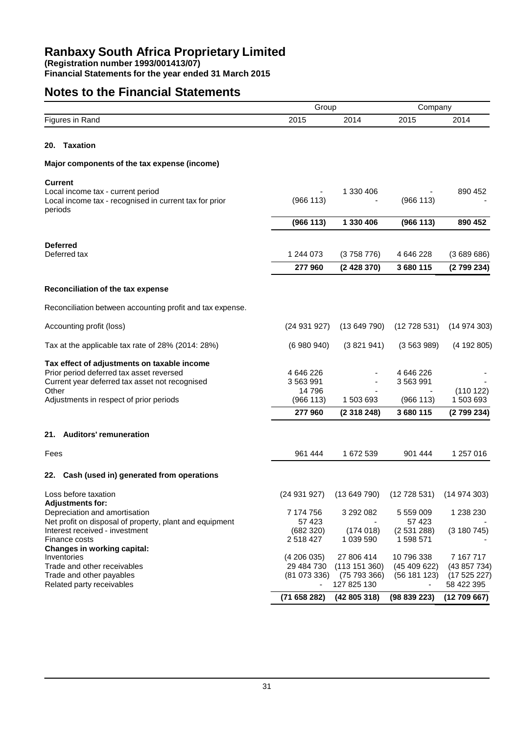**Financial Statements for the year ended 31 March 2015**

# **Notes to the Financial Statements**

|                                                                                                        | Group                  |                           | Company                                |                          |
|--------------------------------------------------------------------------------------------------------|------------------------|---------------------------|----------------------------------------|--------------------------|
| Figures in Rand                                                                                        | 2015                   | 2014                      | 2015                                   | 2014                     |
| Taxation<br>20.                                                                                        |                        |                           |                                        |                          |
| Major components of the tax expense (income)                                                           |                        |                           |                                        |                          |
| <b>Current</b>                                                                                         |                        |                           |                                        |                          |
| Local income tax - current period<br>Local income tax - recognised in current tax for prior<br>periods | (966 113)              | 1 330 406                 | (966 113)                              | 890 452                  |
|                                                                                                        | (966 113)              | 1 330 406                 | (966 113)                              | 890 452                  |
| <b>Deferred</b>                                                                                        |                        |                           |                                        |                          |
| Deferred tax                                                                                           | 1 244 073              | (3758776)                 | 4 646 228                              | (3689686)                |
|                                                                                                        | 277960                 | (2428370)                 | 3680115                                | (2799234)                |
| Reconciliation of the tax expense                                                                      |                        |                           |                                        |                          |
| Reconciliation between accounting profit and tax expense.                                              |                        |                           |                                        |                          |
| Accounting profit (loss)                                                                               | (24931927)             | (13649790)                | (12728531)                             | (14974303)               |
| Tax at the applicable tax rate of 28% (2014: 28%)                                                      | (6980940)              | (3821941)                 | (3563989)                              | (4192805)                |
| Tax effect of adjustments on taxable income                                                            |                        |                           |                                        |                          |
| Prior period deferred tax asset reversed<br>Current year deferred tax asset not recognised             | 4 646 226<br>3 563 991 |                           | 4 646 226<br>3 563 991                 |                          |
| Other                                                                                                  | 14796                  |                           |                                        | (110122)                 |
| Adjustments in respect of prior periods                                                                | (966 113)              | 1 503 693                 | (966 113)                              | 1 503 693                |
|                                                                                                        | 277960                 | (2318248)                 | 3680115                                | (2799234)                |
| 21. Auditors' remuneration                                                                             |                        |                           |                                        |                          |
| Fees                                                                                                   | 961 444                | 1 672 539                 | 901 444                                | 1 257 016                |
| 22. Cash (used in) generated from operations                                                           |                        |                           |                                        |                          |
| Loss before taxation                                                                                   | (24931927)             |                           | $(13649790)$ $(12728531)$ $(14974303)$ |                          |
| <b>Adjustments for:</b><br>Depreciation and amortisation                                               | 7 174 756              | 3 292 082                 | 5 559 009                              | 1 238 230                |
| Net profit on disposal of property, plant and equipment                                                | 57 423                 |                           | 57 423                                 |                          |
| Interest received - investment<br>Finance costs                                                        | (682 320)<br>2 518 427 | (174018)<br>1 039 590     | (2531288)<br>1 598 571                 | (3 180 745)              |
| <b>Changes in working capital:</b>                                                                     |                        |                           |                                        |                          |
| Inventories                                                                                            | (4206035)              | 27 806 414                | 10 796 338                             | 7 167 717                |
| Trade and other receivables<br>Trade and other payables                                                | 29 484 730             | (113151360)<br>(75793366) | (45 409 622)                           | (43857734)               |
| Related party receivables                                                                              | (81073336)             | 127 825 130               | (56181123)                             | (17525227)<br>58 422 395 |
|                                                                                                        | (71658282)             | (42805318)                | (98839223)                             | (12709667)               |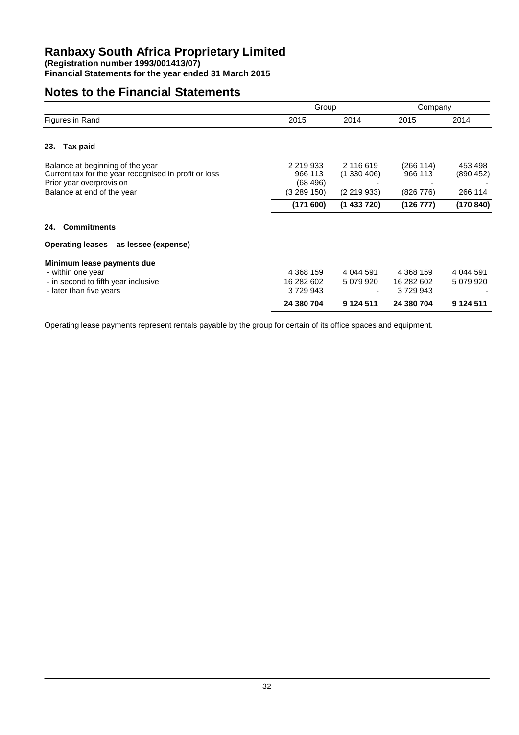**Financial Statements for the year ended 31 March 2015**

# **Notes to the Financial Statements**

|                                                                                                                                                     | Group                                          |                                       | Company                            |                                |
|-----------------------------------------------------------------------------------------------------------------------------------------------------|------------------------------------------------|---------------------------------------|------------------------------------|--------------------------------|
| Figures in Rand                                                                                                                                     | 2015                                           | 2014                                  | 2015                               | 2014                           |
| 23.<br>Tax paid                                                                                                                                     |                                                |                                       |                                    |                                |
| Balance at beginning of the year<br>Current tax for the year recognised in profit or loss<br>Prior year overprovision<br>Balance at end of the year | 2 219 933<br>966 113<br>(68, 496)<br>(3289150) | 2 116 619<br>(1330406)<br>(2 219 933) | (266 114)<br>966 113<br>(826 776)  | 453 498<br>(890452)<br>266 114 |
|                                                                                                                                                     | (171600)                                       | (1433720)                             | (126 777)                          | (170840)                       |
| <b>Commitments</b><br>24.                                                                                                                           |                                                |                                       |                                    |                                |
| Operating leases – as lessee (expense)                                                                                                              |                                                |                                       |                                    |                                |
| Minimum lease payments due<br>- within one year<br>- in second to fifth year inclusive<br>- later than five years                                   | 4 3 68 1 59<br>16 282 602<br>3729943           | 4 044 591<br>5 079 920                | 4 368 159<br>16 282 602<br>3729943 | 4 044 591<br>5 079 920         |
|                                                                                                                                                     | 24 380 704                                     | 9 1 24 5 11                           | 24 380 704                         | 9 124 511                      |

Operating lease payments represent rentals payable by the group for certain of its office spaces and equipment.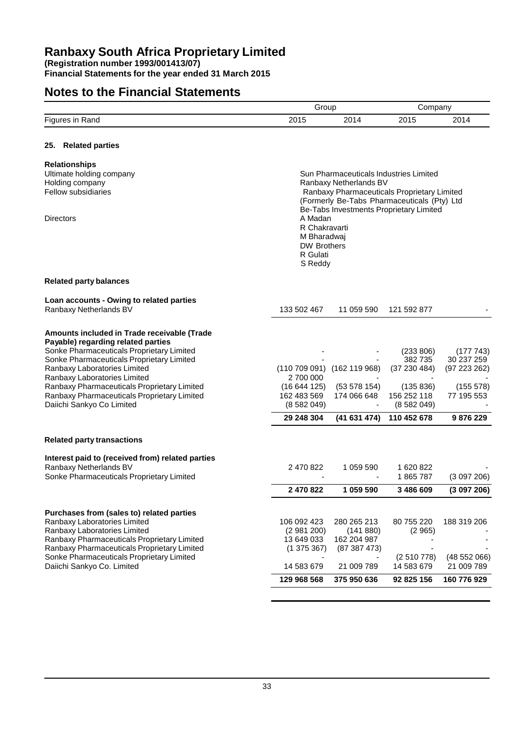**Financial Statements for the year ended 31 March 2015**

# **Notes to the Financial Statements**

|                                                                                        | Group                             |                                             | Company             |                        |
|----------------------------------------------------------------------------------------|-----------------------------------|---------------------------------------------|---------------------|------------------------|
| Figures in Rand                                                                        | 2015                              | 2014                                        | 2015                | 2014                   |
|                                                                                        |                                   |                                             |                     |                        |
| 25. Related parties                                                                    |                                   |                                             |                     |                        |
| <b>Relationships</b>                                                                   |                                   |                                             |                     |                        |
| Ultimate holding company                                                               |                                   | Sun Pharmaceuticals Industries Limited      |                     |                        |
| Holding company                                                                        |                                   | Ranbaxy Netherlands BV                      |                     |                        |
| <b>Fellow subsidiaries</b>                                                             |                                   | Ranbaxy Pharmaceuticals Proprietary Limited |                     |                        |
|                                                                                        |                                   | (Formerly Be-Tabs Pharmaceuticals (Pty) Ltd |                     |                        |
|                                                                                        |                                   | Be-Tabs Investments Proprietary Limited     |                     |                        |
| <b>Directors</b>                                                                       | A Madan                           |                                             |                     |                        |
|                                                                                        | R Chakravarti                     |                                             |                     |                        |
|                                                                                        | M Bharadwaj<br><b>DW Brothers</b> |                                             |                     |                        |
|                                                                                        | R Gulati                          |                                             |                     |                        |
|                                                                                        | S Reddy                           |                                             |                     |                        |
| <b>Related party balances</b>                                                          |                                   |                                             |                     |                        |
| Loan accounts - Owing to related parties                                               |                                   |                                             |                     |                        |
| Ranbaxy Netherlands BV                                                                 | 133 502 467                       | 11 059 590                                  | 121 592 877         |                        |
|                                                                                        |                                   |                                             |                     |                        |
| Amounts included in Trade receivable (Trade                                            |                                   |                                             |                     |                        |
| Payable) regarding related parties                                                     |                                   |                                             |                     |                        |
| Sonke Pharmaceuticals Proprietary Limited<br>Sonke Pharmaceuticals Proprietary Limited |                                   |                                             | (233 806)<br>382735 | (177743)<br>30 237 259 |
| Ranbaxy Laboratories Limited                                                           |                                   | (110 709 091) (162 119 968)                 | (37 230 484)        | (97 223 262)           |
| Ranbaxy Laboratories Limited                                                           | 2 700 000                         |                                             |                     |                        |
| Ranbaxy Pharmaceuticals Proprietary Limited                                            | (16644125)                        | (53 578 154)                                | (135 836)           | (155 578)              |
| Ranbaxy Pharmaceuticals Proprietary Limited                                            | 162 483 569                       | 174 066 648                                 | 156 252 118         | 77 195 553             |
| Daiichi Sankyo Co Limited                                                              | (8582049)                         |                                             | (8582049)           |                        |
|                                                                                        | 29 248 304                        | (41631474)                                  | 110 452 678         | 9876229                |
| <b>Related party transactions</b>                                                      |                                   |                                             |                     |                        |
|                                                                                        |                                   |                                             |                     |                        |
| Interest paid to (received from) related parties                                       |                                   |                                             |                     |                        |
| Ranbaxy Netherlands BV                                                                 | 2 470 822                         | 1 059 590                                   | 1 620 822           |                        |
| Sonke Pharmaceuticals Proprietary Limited                                              |                                   |                                             | 1865787             | (3097206)              |
|                                                                                        | 2 470 822                         | 1 059 590                                   | 3 486 609           | (3097206)              |
| Purchases from (sales to) related parties                                              |                                   |                                             |                     |                        |
| Ranbaxy Laboratories Limited                                                           | 106 092 423                       | 280 265 213                                 | 80 755 220          | 188 319 206            |
| Ranbaxy Laboratories Limited                                                           | (2981200)                         | (141 880)                                   | (2965)              |                        |
| Ranbaxy Pharmaceuticals Proprietary Limited                                            | 13 649 033                        | 162 204 987                                 |                     |                        |
| Ranbaxy Pharmaceuticals Proprietary Limited                                            | (1375367)                         | (87387473)                                  |                     |                        |
| Sonke Pharmaceuticals Proprietary Limited                                              |                                   |                                             | (2510778)           | (48552066)             |
| Daiichi Sankyo Co. Limited                                                             | 14 583 679                        | 21 009 789                                  | 14 583 679          | 21 009 789             |
|                                                                                        | 129 968 568                       | 375 950 636                                 | 92 825 156          | 160 776 929            |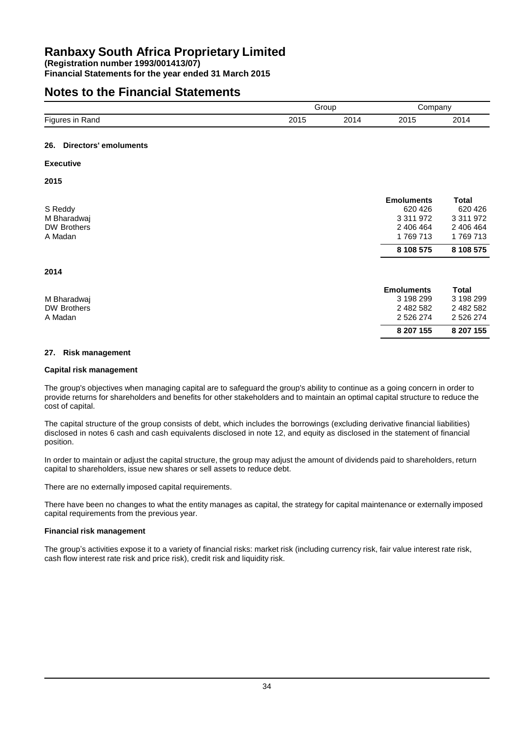**Financial Statements for the year ended 31 March 2015**

# **Notes to the Financial Statements**

|                    |      | Group |      | ;ompany |  |
|--------------------|------|-------|------|---------|--|
| Figures in<br>Rand | 2015 | 2014  | 2015 | 2014    |  |
|                    |      |       |      |         |  |

### **26. Directors' emoluments**

### **Executive**

**2015**

**2014**

|             | <b>Emoluments</b> | Total       |
|-------------|-------------------|-------------|
| S Reddy     | 620 426           | 620 426     |
| M Bharadwaj | 3 311 972         | 3 3 1 9 7 2 |
| DW Brothers | 2 406 464         | 2 406 464   |
| A Madan     | 1769713           | 1769713     |
|             | 8 108 575         | 8 108 575   |
|             |                   |             |

| M Bharadwaj<br><b>DW Brothers</b><br>A Madan | <b>Emoluments</b><br>3 198 299<br>2 482 582<br>2 526 274 | Total<br>3 198 299<br>2 482 582<br>2 526 274 |
|----------------------------------------------|----------------------------------------------------------|----------------------------------------------|
|                                              | 8 207 155                                                | 8 207 155                                    |

### **27. Risk management**

### **Capital risk management**

The group's objectives when managing capital are to safeguard the group's ability to continue as a going concern in order to provide returns for shareholders and benefits for other stakeholders and to maintain an optimal capital structure to reduce the cost of capital.

The capital structure of the group consists of debt, which includes the borrowings (excluding derivative financial liabilities) disclosed in notes 6 cash and cash equivalents disclosed in note 12, and equity as disclosed in the statement of financial position.

In order to maintain or adjust the capital structure, the group may adjust the amount of dividends paid to shareholders, return capital to shareholders, issue new shares or sell assets to reduce debt.

There are no externally imposed capital requirements.

There have been no changes to what the entity manages as capital, the strategy for capital maintenance or externally imposed capital requirements from the previous year.

### **Financial risk management**

The group's activities expose it to a variety of financial risks: market risk (including currency risk, fair value interest rate risk, cash flow interest rate risk and price risk), credit risk and liquidity risk.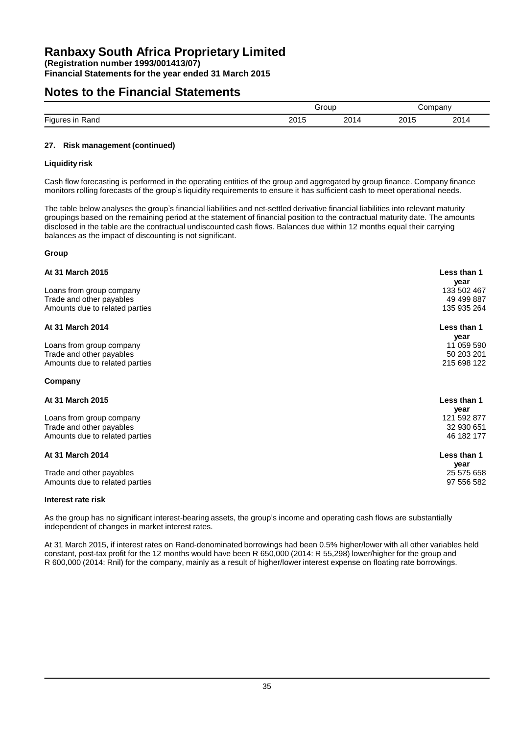**Financial Statements for the year ended 31 March 2015**

### **Notes to the Financial Statements**

|                       |             | Group     |             | ompanv      |  |
|-----------------------|-------------|-----------|-------------|-------------|--|
| Figures<br>Rand<br>ır | 201.<br>∠∪∟ | nn.<br>∸~ | า∩ ฯ<br>Ιм. | ን∩1<br>ZU I |  |

### **27. Risk management (continued)**

### **Liquidity risk**

Cash flow forecasting is performed in the operating entities of the group and aggregated by group finance. Company finance monitors rolling forecasts of the group's liquidity requirements to ensure it has sufficient cash to meet operational needs.

The table below analyses the group's financial liabilities and net-settled derivative financial liabilities into relevant maturity groupings based on the remaining period at the statement of financial position to the contractual maturity date. The amounts disclosed in the table are the contractual undiscounted cash flows. Balances due within 12 months equal their carrying balances as the impact of discounting is not significant.

### **Group**

| <b>At 31 March 2015</b>        | Less than 1<br>year |
|--------------------------------|---------------------|
| Loans from group company       | 133 502 467         |
| Trade and other payables       | 49 499 887          |
| Amounts due to related parties | 135 935 264         |
| At 31 March 2014               | Less than 1         |
|                                | year                |
| Loans from group company       | 11 059 590          |
| Trade and other payables       | 50 203 201          |
| Amounts due to related parties | 215 698 122         |
| Company                        |                     |
| At 31 March 2015               | Less than 1         |
|                                | year                |
| Loans from group company       | 121 592 877         |
| Trade and other payables       | 32 930 651          |
| Amounts due to related parties | 46 182 177          |
| At 31 March 2014               | Less than 1         |
|                                | year                |
| Trade and other payables       | 25 575 658          |
| Amounts due to related parties | 97 556 582          |
|                                |                     |

### **Interest rate risk**

As the group has no significant interest-bearing assets, the group's income and operating cash flows are substantially independent of changes in market interest rates.

At 31 March 2015, if interest rates on Rand-denominated borrowings had been 0.5% higher/lower with all other variables held constant, post-tax profit for the 12 months would have been R 650,000 (2014: R 55,298) lower/higher for the group and R 600,000 (2014: Rnil) for the company, mainly as a result of higher/lower interest expense on floating rate borrowings.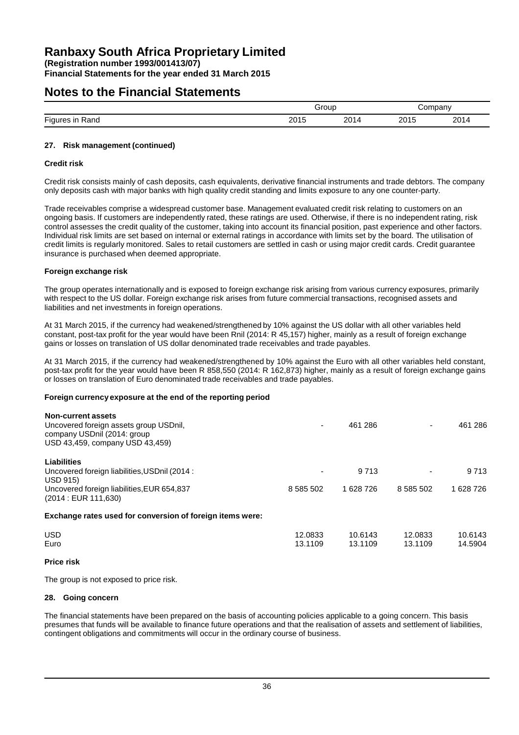**Financial Statements for the year ended 31 March 2015**

### **Notes to the Financial Statements**

|                     |                      | irour<br>. |              | II1                  |  |
|---------------------|----------------------|------------|--------------|----------------------|--|
| Fini.<br>anc<br>ישי | nn A<br>∵י ∪∡<br>___ | -          | ົດດ້<br>____ | ว∩4<br>. ب<br>$   -$ |  |

### **27. Risk management (continued)**

### **Credit risk**

Credit risk consists mainly of cash deposits, cash equivalents, derivative financial instruments and trade debtors. The company only deposits cash with major banks with high quality credit standing and limits exposure to any one counter-party.

Trade receivables comprise a widespread customer base. Management evaluated credit risk relating to customers on an ongoing basis. If customers are independently rated, these ratings are used. Otherwise, if there is no independent rating, risk control assesses the credit quality of the customer, taking into account its financial position, past experience and other factors. Individual risk limits are set based on internal or external ratings in accordance with limits set by the board. The utilisation of credit limits is regularly monitored. Sales to retail customers are settled in cash or using major credit cards. Credit guarantee insurance is purchased when deemed appropriate.

### **Foreign exchange risk**

The group operates internationally and is exposed to foreign exchange risk arising from various currency exposures, primarily with respect to the US dollar. Foreign exchange risk arises from future commercial transactions, recognised assets and liabilities and net investments in foreign operations.

At 31 March 2015, if the currency had weakened/strengthened by 10% against the US dollar with all other variables held constant, post-tax profit for the year would have been Rnil (2014: R 45,157) higher, mainly as a result of foreign exchange gains or losses on translation of US dollar denominated trade receivables and trade payables.

At 31 March 2015, if the currency had weakened/strengthened by 10% against the Euro with all other variables held constant, post-tax profit for the year would have been R 858,550 (2014: R 162,873) higher, mainly as a result of foreign exchange gains or losses on translation of Euro denominated trade receivables and trade payables.

### **Foreign currency exposure at the end of the reporting period**

| <b>Non-current assets</b><br>Uncovered foreign assets group USDnil,<br>company USDnil (2014: group<br>USD 43,459, company USD 43,459) | ۰                        | 461 286            |                    | 461 286            |
|---------------------------------------------------------------------------------------------------------------------------------------|--------------------------|--------------------|--------------------|--------------------|
| Liabilities                                                                                                                           |                          | 9 7 1 3            |                    | 9 7 1 3            |
| Uncovered foreign liabilities, USDnil (2014:<br><b>USD 915)</b>                                                                       | $\overline{\phantom{0}}$ |                    |                    |                    |
| Uncovered foreign liabilities, EUR 654,837<br>(2014 : EUR 111,630)                                                                    | 8 585 502                | 1 628 726          | 8 585 502          | 1 628 726          |
| Exchange rates used for conversion of foreign items were:                                                                             |                          |                    |                    |                    |
| <b>USD</b><br>Euro                                                                                                                    | 12.0833<br>13.1109       | 10.6143<br>13.1109 | 12.0833<br>13.1109 | 10.6143<br>14.5904 |

### **Price risk**

The group is not exposed to price risk.

### **28. Going concern**

The financial statements have been prepared on the basis of accounting policies applicable to a going concern. This basis presumes that funds will be available to finance future operations and that the realisation of assets and settlement of liabilities, contingent obligations and commitments will occur in the ordinary course of business.